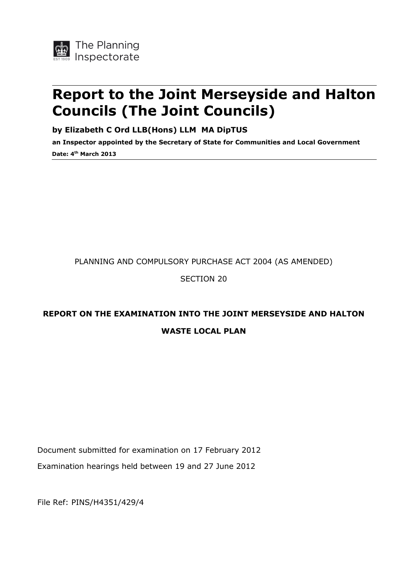

# **Report to the Joint Merseyside and Halton Councils (The Joint Councils)**

**by Elizabeth C Ord LLB(Hons) LLM MA DipTUS**

**an Inspector appointed by the Secretary of State for Communities and Local Government Date: 4 th March 2013**

#### PLANNING AND COMPULSORY PURCHASE ACT 2004 (AS AMENDED)

SECTION 20

### **REPORT ON THE EXAMINATION INTO THE JOINT MERSEYSIDE AND HALTON WASTE LOCAL PLAN**

Document submitted for examination on 17 February 2012 Examination hearings held between 19 and 27 June 2012

File Ref: PINS/H4351/429/4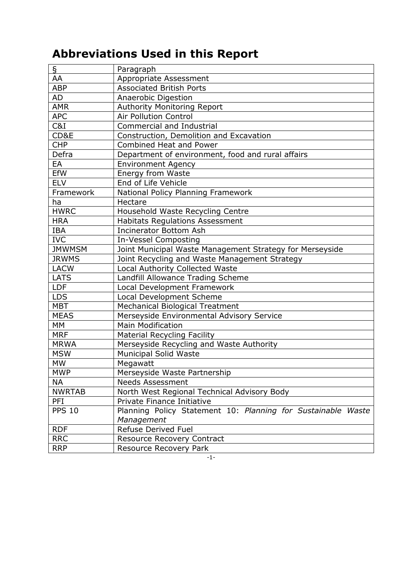# **Abbreviations Used in this Report**

| $\overline{S}$ | Paragraph                                                    |  |  |
|----------------|--------------------------------------------------------------|--|--|
| AA             | Appropriate Assessment                                       |  |  |
| <b>ABP</b>     | <b>Associated British Ports</b>                              |  |  |
| <b>AD</b>      | Anaerobic Digestion                                          |  |  |
| <b>AMR</b>     | Authority Monitoring Report                                  |  |  |
| <b>APC</b>     | <b>Air Pollution Control</b>                                 |  |  |
| C&I            | <b>Commercial and Industrial</b>                             |  |  |
| CD&E           | Construction, Demolition and Excavation                      |  |  |
| <b>CHP</b>     | Combined Heat and Power                                      |  |  |
| Defra          | Department of environment, food and rural affairs            |  |  |
| EA             | <b>Environment Agency</b>                                    |  |  |
| <b>EfW</b>     | Energy from Waste                                            |  |  |
| <b>ELV</b>     | End of Life Vehicle                                          |  |  |
| Framework      | National Policy Planning Framework                           |  |  |
| ha             | Hectare                                                      |  |  |
| <b>HWRC</b>    | Household Waste Recycling Centre                             |  |  |
| <b>HRA</b>     | <b>Habitats Regulations Assessment</b>                       |  |  |
| <b>IBA</b>     | <b>Incinerator Bottom Ash</b>                                |  |  |
| <b>IVC</b>     | In-Vessel Composting                                         |  |  |
| <b>JMWMSM</b>  | Joint Municipal Waste Management Strategy for Merseyside     |  |  |
| <b>JRWMS</b>   | Joint Recycling and Waste Management Strategy                |  |  |
| <b>LACW</b>    | Local Authority Collected Waste                              |  |  |
| <b>LATS</b>    | Landfill Allowance Trading Scheme                            |  |  |
| <b>LDF</b>     | Local Development Framework                                  |  |  |
| <b>LDS</b>     | Local Development Scheme                                     |  |  |
| <b>MBT</b>     | <b>Mechanical Biological Treatment</b>                       |  |  |
| <b>MEAS</b>    | Merseyside Environmental Advisory Service                    |  |  |
| MM             | <b>Main Modification</b>                                     |  |  |
| <b>MRF</b>     | <b>Material Recycling Facility</b>                           |  |  |
| <b>MRWA</b>    | Merseyside Recycling and Waste Authority                     |  |  |
| <b>MSW</b>     | <b>Municipal Solid Waste</b>                                 |  |  |
| <b>MW</b>      | Megawatt                                                     |  |  |
| <b>MWP</b>     | Merseyside Waste Partnership                                 |  |  |
| <b>NA</b>      | <b>Needs Assessment</b>                                      |  |  |
| <b>NWRTAB</b>  | North West Regional Technical Advisory Body                  |  |  |
| PFI            | Private Finance Initiative                                   |  |  |
| <b>PPS 10</b>  | Planning Policy Statement 10: Planning for Sustainable Waste |  |  |
|                | Management                                                   |  |  |
| <b>RDF</b>     | <b>Refuse Derived Fuel</b>                                   |  |  |
| <b>RRC</b>     | <b>Resource Recovery Contract</b>                            |  |  |
| <b>RRP</b>     | <b>Resource Recovery Park</b>                                |  |  |

-1-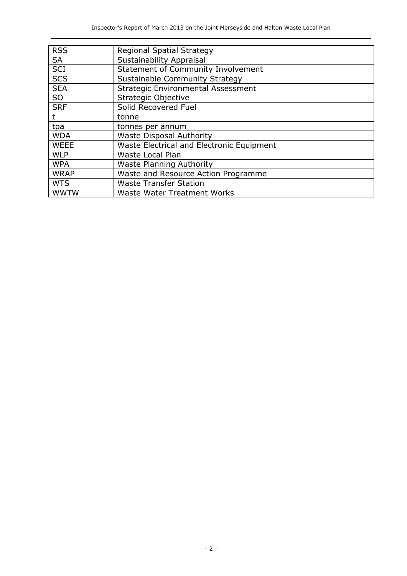| <b>RSS</b>  | Regional Spatial Strategy                 |
|-------------|-------------------------------------------|
| <b>SA</b>   | <b>Sustainability Appraisal</b>           |
| SCI         | <b>Statement of Community Involvement</b> |
| <b>SCS</b>  | Sustainable Community Strategy            |
| <b>SEA</b>  | <b>Strategic Environmental Assessment</b> |
| <b>SO</b>   | Strategic Objective                       |
| <b>SRF</b>  | Solid Recovered Fuel                      |
|             | tonne                                     |
| tpa         | tonnes per annum                          |
| <b>WDA</b>  | <b>Waste Disposal Authority</b>           |
| <b>WEEE</b> | Waste Electrical and Electronic Equipment |
| <b>WLP</b>  | Waste Local Plan                          |
| <b>WPA</b>  | <b>Waste Planning Authority</b>           |
| <b>WRAP</b> | Waste and Resource Action Programme       |
| <b>WTS</b>  | <b>Waste Transfer Station</b>             |
| <b>WWTW</b> | <b>Waste Water Treatment Works</b>        |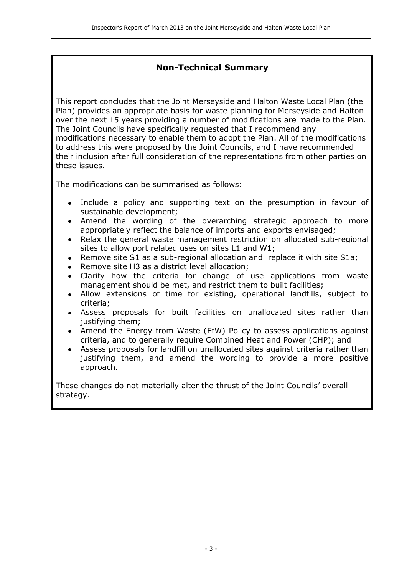### **Non-Technical Summary**

This report concludes that the Joint Merseyside and Halton Waste Local Plan (the Plan) provides an appropriate basis for waste planning for Merseyside and Halton over the next 15 years providing a number of modifications are made to the Plan. The Joint Councils have specifically requested that I recommend any modifications necessary to enable them to adopt the Plan. All of the modifications to address this were proposed by the Joint Councils, and I have recommended their inclusion after full consideration of the representations from other parties on these issues.

The modifications can be summarised as follows:

- Include a policy and supporting text on the presumption in favour of sustainable development;
- Amend the wording of the overarching strategic approach to more appropriately reflect the balance of imports and exports envisaged;
- Relax the general waste management restriction on allocated sub-regional sites to allow port related uses on sites L1 and W1;
- Remove site S1 as a sub-regional allocation and replace it with site S1a;
- Remove site H3 as a district level allocation;
- Clarify how the criteria for change of use applications from waste management should be met, and restrict them to built facilities;
- Allow extensions of time for existing, operational landfills, subject to criteria;
- Assess proposals for built facilities on unallocated sites rather than justifying them;
- Amend the Energy from Waste (EfW) Policy to assess applications against criteria, and to generally require Combined Heat and Power (CHP); and
- Assess proposals for landfill on unallocated sites against criteria rather than justifying them, and amend the wording to provide a more positive approach.

These changes do not materially alter the thrust of the Joint Councils' overall strategy.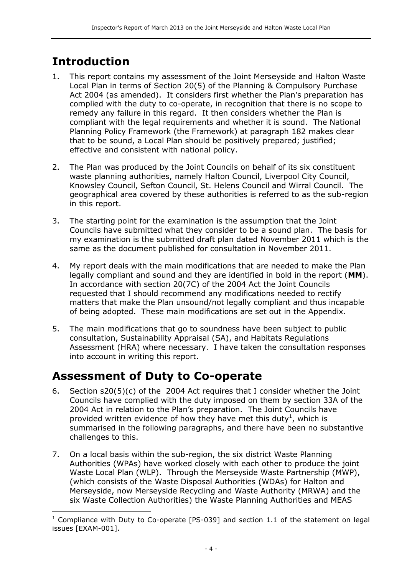# **Introduction**

j

- 1. This report contains my assessment of the Joint Merseyside and Halton Waste Local Plan in terms of Section 20(5) of the Planning & Compulsory Purchase Act 2004 (as amended). It considers first whether the Plan's preparation has complied with the duty to co-operate, in recognition that there is no scope to remedy any failure in this regard. It then considers whether the Plan is compliant with the legal requirements and whether it is sound. The National Planning Policy Framework (the Framework) at paragraph 182 makes clear that to be sound, a Local Plan should be positively prepared; justified; effective and consistent with national policy.
- 2. The Plan was produced by the Joint Councils on behalf of its six constituent waste planning authorities, namely Halton Council, Liverpool City Council, Knowsley Council, Sefton Council, St. Helens Council and Wirral Council. The geographical area covered by these authorities is referred to as the sub-region in this report.
- 3. The starting point for the examination is the assumption that the Joint Councils have submitted what they consider to be a sound plan. The basis for my examination is the submitted draft plan dated November 2011 which is the same as the document published for consultation in November 2011.
- 4. My report deals with the main modifications that are needed to make the Plan legally compliant and sound and they are identified in bold in the report (**MM**). In accordance with section 20(7C) of the 2004 Act the Joint Councils requested that I should recommend any modifications needed to rectify matters that make the Plan unsound/not legally compliant and thus incapable of being adopted. These main modifications are set out in the Appendix.
- 5. The main modifications that go to soundness have been subject to public consultation, Sustainability Appraisal (SA), and Habitats Regulations Assessment (HRA) where necessary. I have taken the consultation responses into account in writing this report.

## **Assessment of Duty to Co-operate**

- 6. Section s20(5)(c) of the 2004 Act requires that I consider whether the Joint Councils have complied with the duty imposed on them by section 33A of the 2004 Act in relation to the Plan's preparation. The Joint Councils have provided written evidence of how they have met this duty<sup>1</sup>, which is summarised in the following paragraphs, and there have been no substantive challenges to this.
- 7. On a local basis within the sub-region, the six district Waste Planning Authorities (WPAs) have worked closely with each other to produce the joint Waste Local Plan (WLP). Through the Merseyside Waste Partnership (MWP), (which consists of the Waste Disposal Authorities (WDAs) for Halton and Merseyside, now Merseyside Recycling and Waste Authority (MRWA) and the six Waste Collection Authorities) the Waste Planning Authorities and MEAS

<sup>&</sup>lt;sup>1</sup> Compliance with Duty to Co-operate [PS-039] and section 1.1 of the statement on legal issues [EXAM-001].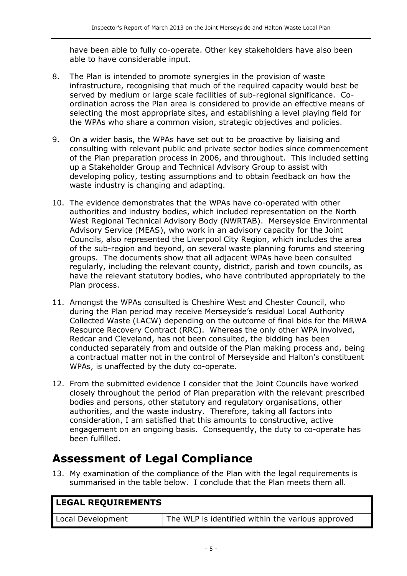have been able to fully co-operate. Other key stakeholders have also been able to have considerable input.

- 8. The Plan is intended to promote synergies in the provision of waste infrastructure, recognising that much of the required capacity would best be served by medium or large scale facilities of sub-regional significance. Coordination across the Plan area is considered to provide an effective means of selecting the most appropriate sites, and establishing a level playing field for the WPAs who share a common vision, strategic objectives and policies.
- 9. On a wider basis, the WPAs have set out to be proactive by liaising and consulting with relevant public and private sector bodies since commencement of the Plan preparation process in 2006, and throughout. This included setting up a Stakeholder Group and Technical Advisory Group to assist with developing policy, testing assumptions and to obtain feedback on how the waste industry is changing and adapting.
- 10. The evidence demonstrates that the WPAs have co-operated with other authorities and industry bodies, which included representation on the North West Regional Technical Advisory Body (NWRTAB). Merseyside Environmental Advisory Service (MEAS), who work in an advisory capacity for the Joint Councils, also represented the Liverpool City Region, which includes the area of the sub-region and beyond, on several waste planning forums and steering groups. The documents show that all adjacent WPAs have been consulted regularly, including the relevant county, district, parish and town councils, as have the relevant statutory bodies, who have contributed appropriately to the Plan process.
- 11. Amongst the WPAs consulted is Cheshire West and Chester Council, who during the Plan period may receive Merseyside's residual Local Authority Collected Waste (LACW) depending on the outcome of final bids for the MRWA Resource Recovery Contract (RRC). Whereas the only other WPA involved, Redcar and Cleveland, has not been consulted, the bidding has been conducted separately from and outside of the Plan making process and, being a contractual matter not in the control of Merseyside and Halton's constituent WPAs, is unaffected by the duty co-operate.
- 12. From the submitted evidence I consider that the Joint Councils have worked closely throughout the period of Plan preparation with the relevant prescribed bodies and persons, other statutory and regulatory organisations, other authorities, and the waste industry. Therefore, taking all factors into consideration, I am satisfied that this amounts to constructive, active engagement on an ongoing basis. Consequently, the duty to co-operate has been fulfilled.

## **Assessment of Legal Compliance**

13. My examination of the compliance of the Plan with the legal requirements is summarised in the table below. I conclude that the Plan meets them all.

| <b>LEGAL REQUIREMENTS</b> |                                                   |  |
|---------------------------|---------------------------------------------------|--|
| Local Development         | The WLP is identified within the various approved |  |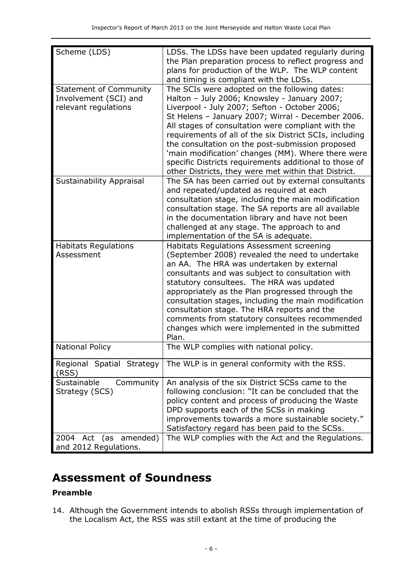| Scheme (LDS)                                                                   | LDSs. The LDSs have been updated regularly during<br>the Plan preparation process to reflect progress and<br>plans for production of the WLP. The WLP content<br>and timing is compliant with the LDSs.                                                                                                                                                                                                                                                                                                                                          |
|--------------------------------------------------------------------------------|--------------------------------------------------------------------------------------------------------------------------------------------------------------------------------------------------------------------------------------------------------------------------------------------------------------------------------------------------------------------------------------------------------------------------------------------------------------------------------------------------------------------------------------------------|
| <b>Statement of Community</b><br>Involvement (SCI) and<br>relevant regulations | The SCIs were adopted on the following dates:<br>Halton - July 2006; Knowsley - January 2007;<br>Liverpool - July 2007; Sefton - October 2006;<br>St Helens - January 2007; Wirral - December 2006.<br>All stages of consultation were compliant with the<br>requirements of all of the six District SCIs, including<br>the consultation on the post-submission proposed<br>'main modification' changes (MM). Where there were<br>specific Districts requirements additional to those of<br>other Districts, they were met within that District. |
| <b>Sustainability Appraisal</b>                                                | The SA has been carried out by external consultants<br>and repeated/updated as required at each<br>consultation stage, including the main modification<br>consultation stage. The SA reports are all available<br>in the documentation library and have not been<br>challenged at any stage. The approach to and<br>implementation of the SA is adequate.                                                                                                                                                                                        |
| <b>Habitats Regulations</b><br>Assessment                                      | Habitats Regulations Assessment screening<br>(September 2008) revealed the need to undertake<br>an AA. The HRA was undertaken by external<br>consultants and was subject to consultation with<br>statutory consultees. The HRA was updated<br>appropriately as the Plan progressed through the<br>consultation stages, including the main modification<br>consultation stage. The HRA reports and the<br>comments from statutory consultees recommended<br>changes which were implemented in the submitted<br>Plan.                              |
| <b>National Policy</b>                                                         | The WLP complies with national policy.                                                                                                                                                                                                                                                                                                                                                                                                                                                                                                           |
| Regional Spatial Strategy<br>(RSS)                                             | The WLP is in general conformity with the RSS.                                                                                                                                                                                                                                                                                                                                                                                                                                                                                                   |
| Sustainable<br>Community<br>Strategy (SCS)                                     | An analysis of the six District SCSs came to the<br>following conclusion: "It can be concluded that the<br>policy content and process of producing the Waste<br>DPD supports each of the SCSs in making<br>improvements towards a more sustainable society."<br>Satisfactory regard has been paid to the SCSs.                                                                                                                                                                                                                                   |
| Act (as amended)<br>2004<br>and 2012 Regulations.                              | The WLP complies with the Act and the Regulations.                                                                                                                                                                                                                                                                                                                                                                                                                                                                                               |

# **Assessment of Soundness**

#### **Preamble**

14. Although the Government intends to abolish RSSs through implementation of the Localism Act, the RSS was still extant at the time of producing the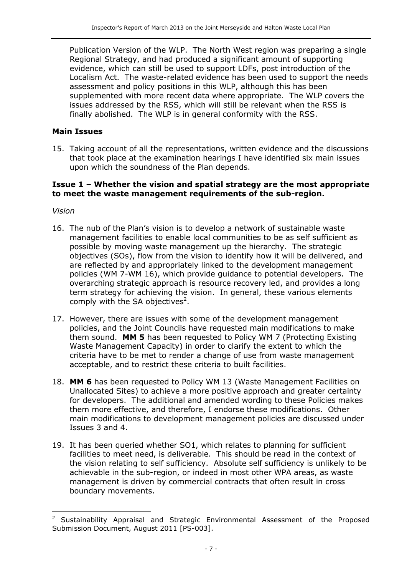Publication Version of the WLP. The North West region was preparing a single Regional Strategy, and had produced a significant amount of supporting evidence, which can still be used to support LDFs, post introduction of the Localism Act. The waste-related evidence has been used to support the needs assessment and policy positions in this WLP, although this has been supplemented with more recent data where appropriate. The WLP covers the issues addressed by the RSS, which will still be relevant when the RSS is finally abolished. The WLP is in general conformity with the RSS.

#### **Main Issues**

15. Taking account of all the representations, written evidence and the discussions that took place at the examination hearings I have identified six main issues upon which the soundness of the Plan depends.

#### **Issue 1 – Whether the vision and spatial strategy are the most appropriate to meet the waste management requirements of the sub-region.**

*Vision*

j

- 16. The nub of the Plan's vision is to develop a network of sustainable waste management facilities to enable local communities to be as self sufficient as possible by moving waste management up the hierarchy. The strategic objectives (SOs), flow from the vision to identify how it will be delivered, and are reflected by and appropriately linked to the development management policies (WM 7-WM 16), which provide guidance to potential developers. The overarching strategic approach is resource recovery led, and provides a long term strategy for achieving the vision. In general, these various elements comply with the SA objectives<sup>2</sup>.
- 17. However, there are issues with some of the development management policies, and the Joint Councils have requested main modifications to make them sound. **MM 5** has been requested to Policy WM 7 (Protecting Existing Waste Management Capacity) in order to clarify the extent to which the criteria have to be met to render a change of use from waste management acceptable, and to restrict these criteria to built facilities.
- 18. **MM 6** has been requested to Policy WM 13 (Waste Management Facilities on Unallocated Sites) to achieve a more positive approach and greater certainty for developers. The additional and amended wording to these Policies makes them more effective, and therefore, I endorse these modifications. Other main modifications to development management policies are discussed under Issues 3 and 4.
- 19. It has been queried whether SO1, which relates to planning for sufficient facilities to meet need, is deliverable. This should be read in the context of the vision relating to self sufficiency. Absolute self sufficiency is unlikely to be achievable in the sub-region, or indeed in most other WPA areas, as waste management is driven by commercial contracts that often result in cross boundary movements.

<sup>&</sup>lt;sup>2</sup> Sustainability Appraisal and Strategic Environmental Assessment of the Proposed Submission Document, August 2011 [PS-003].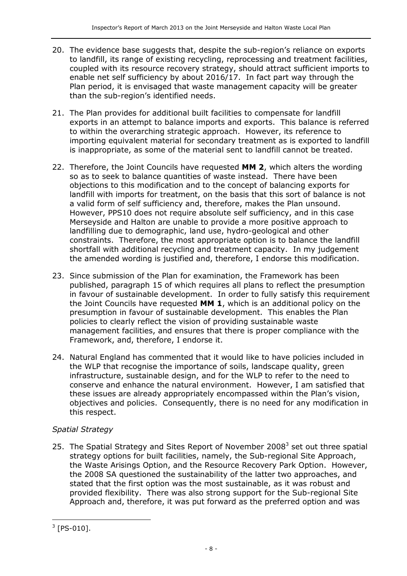- 20. The evidence base suggests that, despite the sub-region's reliance on exports to landfill, its range of existing recycling, reprocessing and treatment facilities, coupled with its resource recovery strategy, should attract sufficient imports to enable net self sufficiency by about 2016/17. In fact part way through the Plan period, it is envisaged that waste management capacity will be greater than the sub-region's identified needs.
- 21. The Plan provides for additional built facilities to compensate for landfill exports in an attempt to balance imports and exports. This balance is referred to within the overarching strategic approach. However, its reference to importing equivalent material for secondary treatment as is exported to landfill is inappropriate, as some of the material sent to landfill cannot be treated.
- 22. Therefore, the Joint Councils have requested **MM 2**, which alters the wording so as to seek to balance quantities of waste instead. There have been objections to this modification and to the concept of balancing exports for landfill with imports for treatment, on the basis that this sort of balance is not a valid form of self sufficiency and, therefore, makes the Plan unsound. However, PPS10 does not require absolute self sufficiency, and in this case Merseyside and Halton are unable to provide a more positive approach to landfilling due to demographic, land use, hydro-geological and other constraints. Therefore, the most appropriate option is to balance the landfill shortfall with additional recycling and treatment capacity. In my judgement the amended wording is justified and, therefore, I endorse this modification.
- 23. Since submission of the Plan for examination, the Framework has been published, paragraph 15 of which requires all plans to reflect the presumption in favour of sustainable development. In order to fully satisfy this requirement the Joint Councils have requested **MM 1**, which is an additional policy on the presumption in favour of sustainable development. This enables the Plan policies to clearly reflect the vision of providing sustainable waste management facilities, and ensures that there is proper compliance with the Framework, and, therefore, I endorse it.
- 24. Natural England has commented that it would like to have policies included in the WLP that recognise the importance of soils, landscape quality, green infrastructure, sustainable design, and for the WLP to refer to the need to conserve and enhance the natural environment. However, I am satisfied that these issues are already appropriately encompassed within the Plan's vision, objectives and policies. Consequently, there is no need for any modification in this respect.

#### *Spatial Strategy*

25. The Spatial Strategy and Sites Report of November 2008 $3$  set out three spatial strategy options for built facilities, namely, the Sub-regional Site Approach, the Waste Arisings Option, and the Resource Recovery Park Option. However, the 2008 SA questioned the sustainability of the latter two approaches, and stated that the first option was the most sustainable, as it was robust and provided flexibility. There was also strong support for the Sub-regional Site Approach and, therefore, it was put forward as the preferred option and was

 $\overline{a}$  $3$  [PS-010].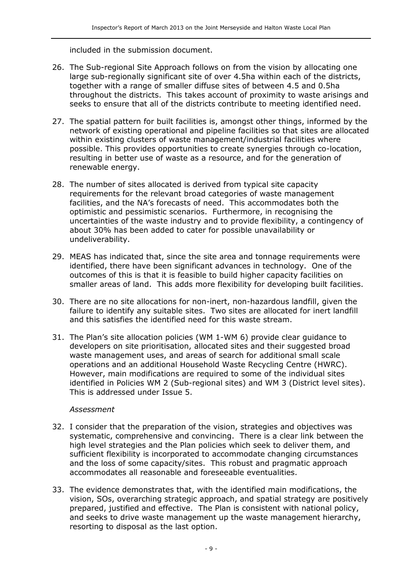included in the submission document.

- 26. The Sub-regional Site Approach follows on from the vision by allocating one large sub-regionally significant site of over 4.5ha within each of the districts, together with a range of smaller diffuse sites of between 4.5 and 0.5ha throughout the districts. This takes account of proximity to waste arisings and seeks to ensure that all of the districts contribute to meeting identified need.
- 27. The spatial pattern for built facilities is, amongst other things, informed by the network of existing operational and pipeline facilities so that sites are allocated within existing clusters of waste management/industrial facilities where possible. This provides opportunities to create synergies through co-location, resulting in better use of waste as a resource, and for the generation of renewable energy.
- 28. The number of sites allocated is derived from typical site capacity requirements for the relevant broad categories of waste management facilities, and the NA's forecasts of need. This accommodates both the optimistic and pessimistic scenarios. Furthermore, in recognising the uncertainties of the waste industry and to provide flexibility, a contingency of about 30% has been added to cater for possible unavailability or undeliverability.
- 29. MEAS has indicated that, since the site area and tonnage requirements were identified, there have been significant advances in technology. One of the outcomes of this is that it is feasible to build higher capacity facilities on smaller areas of land. This adds more flexibility for developing built facilities.
- 30. There are no site allocations for non-inert, non-hazardous landfill, given the failure to identify any suitable sites. Two sites are allocated for inert landfill and this satisfies the identified need for this waste stream.
- 31. The Plan's site allocation policies (WM 1-WM 6) provide clear guidance to developers on site prioritisation, allocated sites and their suggested broad waste management uses, and areas of search for additional small scale operations and an additional Household Waste Recycling Centre (HWRC). However, main modifications are required to some of the individual sites identified in Policies WM 2 (Sub-regional sites) and WM 3 (District level sites). This is addressed under Issue 5.

#### *Assessment*

- 32. I consider that the preparation of the vision, strategies and objectives was systematic, comprehensive and convincing. There is a clear link between the high level strategies and the Plan policies which seek to deliver them, and sufficient flexibility is incorporated to accommodate changing circumstances and the loss of some capacity/sites. This robust and pragmatic approach accommodates all reasonable and foreseeable eventualities.
- 33. The evidence demonstrates that, with the identified main modifications, the vision, SOs, overarching strategic approach, and spatial strategy are positively prepared, justified and effective. The Plan is consistent with national policy, and seeks to drive waste management up the waste management hierarchy, resorting to disposal as the last option.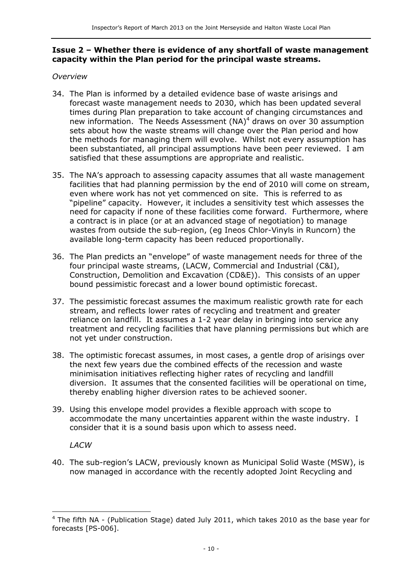#### **Issue 2 – Whether there is evidence of any shortfall of waste management capacity within the Plan period for the principal waste streams.**

#### *Overview*

- 34. The Plan is informed by a detailed evidence base of waste arisings and forecast waste management needs to 2030, which has been updated several times during Plan preparation to take account of changing circumstances and new information. The Needs Assessment  $(NA)^4$  draws on over 30 assumption sets about how the waste streams will change over the Plan period and how the methods for managing them will evolve. Whilst not every assumption has been substantiated, all principal assumptions have been peer reviewed. I am satisfied that these assumptions are appropriate and realistic.
- 35. The NA's approach to assessing capacity assumes that all waste management facilities that had planning permission by the end of 2010 will come on stream, even where work has not yet commenced on site. This is referred to as "pipeline" capacity. However, it includes a sensitivity test which assesses the need for capacity if none of these facilities come forward. Furthermore, where a contract is in place (or at an advanced stage of negotiation) to manage wastes from outside the sub-region, (eg Ineos Chlor-Vinyls in Runcorn) the available long-term capacity has been reduced proportionally.
- 36. The Plan predicts an "envelope" of waste management needs for three of the four principal waste streams, (LACW, Commercial and Industrial (C&I), Construction, Demolition and Excavation (CD&E)). This consists of an upper bound pessimistic forecast and a lower bound optimistic forecast.
- 37. The pessimistic forecast assumes the maximum realistic growth rate for each stream, and reflects lower rates of recycling and treatment and greater reliance on landfill. It assumes a 1-2 year delay in bringing into service any treatment and recycling facilities that have planning permissions but which are not yet under construction.
- 38. The optimistic forecast assumes, in most cases, a gentle drop of arisings over the next few years due the combined effects of the recession and waste minimisation initiatives reflecting higher rates of recycling and landfill diversion. It assumes that the consented facilities will be operational on time, thereby enabling higher diversion rates to be achieved sooner.
- 39. Using this envelope model provides a flexible approach with scope to accommodate the many uncertainties apparent within the waste industry. I consider that it is a sound basis upon which to assess need.

*LACW*

j

40. The sub-region's LACW, previously known as Municipal Solid Waste (MSW), is now managed in accordance with the recently adopted Joint Recycling and

 $4$  The fifth NA - (Publication Stage) dated July 2011, which takes 2010 as the base year for forecasts [PS-006].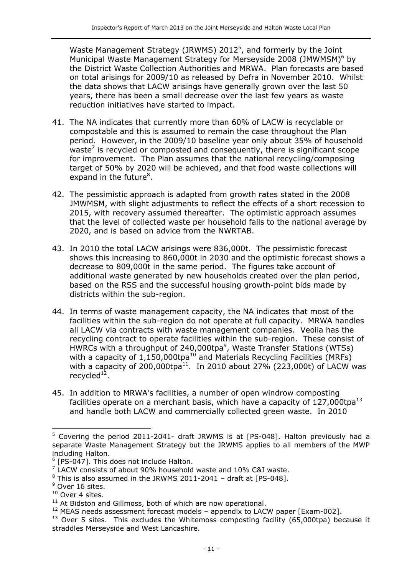Waste Management Strategy (JRWMS)  $2012^5$ , and formerly by the Joint Municipal Waste Management Strategy for Merseyside 2008 (JMWMSM)<sup>6</sup> by the District Waste Collection Authorities and MRWA. Plan forecasts are based on total arisings for 2009/10 as released by Defra in November 2010. Whilst the data shows that LACW arisings have generally grown over the last 50 years, there has been a small decrease over the last few years as waste reduction initiatives have started to impact.

- 41. The NA indicates that currently more than 60% of LACW is recyclable or compostable and this is assumed to remain the case throughout the Plan period. However, in the 2009/10 baseline year only about 35% of household waste<sup>7</sup> is recycled or composted and consequently, there is significant scope for improvement. The Plan assumes that the national recycling/composing target of 50% by 2020 will be achieved, and that food waste collections will expand in the future<sup>8</sup>.
- 42. The pessimistic approach is adapted from growth rates stated in the 2008 JMWMSM, with slight adjustments to reflect the effects of a short recession to 2015, with recovery assumed thereafter. The optimistic approach assumes that the level of collected waste per household falls to the national average by 2020, and is based on advice from the NWRTAB.
- 43. In 2010 the total LACW arisings were 836,000t. The pessimistic forecast shows this increasing to 860,000t in 2030 and the optimistic forecast shows a decrease to 809,000t in the same period. The figures take account of additional waste generated by new households created over the plan period, based on the RSS and the successful housing growth-point bids made by districts within the sub-region.
- 44. In terms of waste management capacity, the NA indicates that most of the facilities within the sub-region do not operate at full capacity. MRWA handles all LACW via contracts with waste management companies. Veolia has the recycling contract to operate facilities within the sub-region. These consist of HWRCs with a throughput of 240,000tpa<sup>9</sup>, Waste Transfer Stations (WTSs) with a capacity of 1,150,000tpa<sup>10</sup> and Materials Recycling Facilities (MRFs) with a capacity of 200,000tpa $^{11}$ . In 2010 about 27% (223,000t) of LACW was recycled $^{12}$ .
- 45. In addition to MRWA's facilities, a number of open windrow composting facilities operate on a merchant basis, which have a capacity of 127,000tpa<sup>13</sup> and handle both LACW and commercially collected green waste. In 2010

j

<sup>&</sup>lt;sup>5</sup> Covering the period 2011-2041- draft JRWMS is at [PS-048]. Halton previously had a separate Waste Management Strategy but the JRWMS applies to all members of the MWP including Halton.

<sup>&</sup>lt;sup>6</sup> [PS-047]. This does not include Halton.

 $7$  LACW consists of about 90% household waste and 10% C&I waste.

 $8$  This is also assumed in the JRWMS 2011-2041 – draft at [PS-048].

<sup>&</sup>lt;sup>9</sup> Over 16 sites.

<sup>&</sup>lt;sup>10</sup> Over 4 sites.

 $11$  At Bidston and Gillmoss, both of which are now operational.

 $12$  MEAS needs assessment forecast models – appendix to LACW paper [Exam-002].

 $13$  Over 5 sites. This excludes the Whitemoss composting facility (65,000tpa) because it straddles Merseyside and West Lancashire.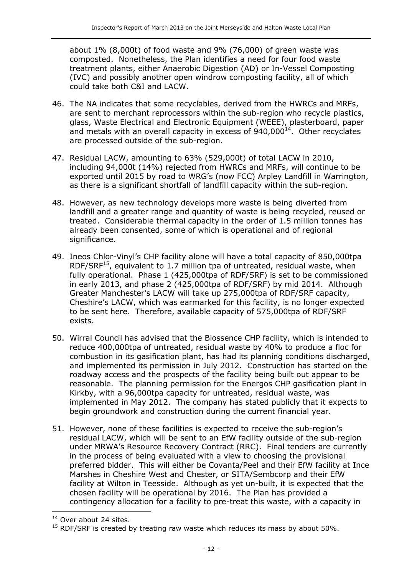about 1% (8,000t) of food waste and 9% (76,000) of green waste was composted. Nonetheless, the Plan identifies a need for four food waste treatment plants, either Anaerobic Digestion (AD) or In-Vessel Composting (IVC) and possibly another open windrow composting facility, all of which could take both C&I and LACW.

- 46. The NA indicates that some recyclables, derived from the HWRCs and MRFs, are sent to merchant reprocessors within the sub-region who recycle plastics, glass, Waste Electrical and Electronic Equipment (WEEE), plasterboard, paper and metals with an overall capacity in excess of  $940,000^{14}$ . Other recyclates are processed outside of the sub-region.
- 47. Residual LACW, amounting to 63% (529,000t) of total LACW in 2010, including 94,000t (14%) rejected from HWRCs and MRFs, will continue to be exported until 2015 by road to WRG's (now FCC) Arpley Landfill in Warrington, as there is a significant shortfall of landfill capacity within the sub-region.
- 48. However, as new technology develops more waste is being diverted from landfill and a greater range and quantity of waste is being recycled, reused or treated. Considerable thermal capacity in the order of 1.5 million tonnes has already been consented, some of which is operational and of regional significance.
- 49. Ineos Chlor-Vinyl's CHP facility alone will have a total capacity of 850,000tpa RDF/SRF<sup>15</sup>, equivalent to 1.7 million tpa of untreated, residual waste, when fully operational. Phase 1 (425,000tpa of RDF/SRF) is set to be commissioned in early 2013, and phase 2 (425,000tpa of RDF/SRF) by mid 2014. Although Greater Manchester's LACW will take up 275,000tpa of RDF/SRF capacity, Cheshire's LACW, which was earmarked for this facility, is no longer expected to be sent here. Therefore, available capacity of 575,000tpa of RDF/SRF exists.
- 50. Wirral Council has advised that the Biossence CHP facility, which is intended to reduce 400,000tpa of untreated, residual waste by 40% to produce a floc for combustion in its gasification plant, has had its planning conditions discharged, and implemented its permission in July 2012. Construction has started on the roadway access and the prospects of the facility being built out appear to be reasonable. The planning permission for the Energos CHP gasification plant in Kirkby, with a 96,000tpa capacity for untreated, residual waste, was implemented in May 2012. The company has stated publicly that it expects to begin groundwork and construction during the current financial year.
- 51. However, none of these facilities is expected to receive the sub-region's residual LACW, which will be sent to an EfW facility outside of the sub-region under MRWA's Resource Recovery Contract (RRC). Final tenders are currently in the process of being evaluated with a view to choosing the provisional preferred bidder. This will either be Covanta/Peel and their EfW facility at Ince Marshes in Cheshire West and Chester, or SITA/Sembcorp and their EfW facility at Wilton in Teesside. Although as yet un-built, it is expected that the chosen facility will be operational by 2016. The Plan has provided a contingency allocation for a facility to pre-treat this waste, with a capacity in

j

<sup>&</sup>lt;sup>14</sup> Over about 24 sites.

 $15$  RDF/SRF is created by treating raw waste which reduces its mass by about 50%.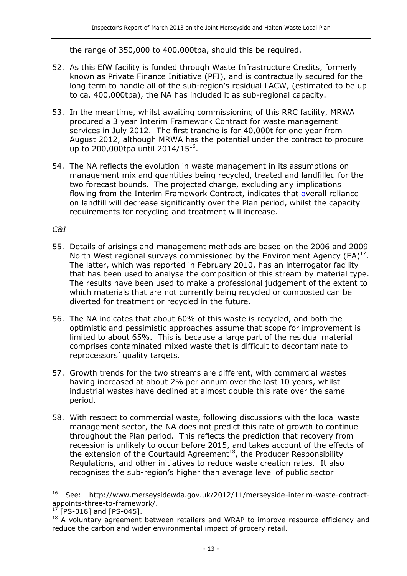the range of 350,000 to 400,000tpa, should this be required.

- 52. As this EfW facility is funded through Waste Infrastructure Credits, formerly known as Private Finance Initiative (PFI), and is contractually secured for the long term to handle all of the sub-region's residual LACW, (estimated to be up to ca. 400,000tpa), the NA has included it as sub-regional capacity.
- 53. In the meantime, whilst awaiting commissioning of this RRC facility, MRWA procured a 3 year Interim Framework Contract for waste management services in July 2012. The first tranche is for 40,000t for one year from August 2012, although MRWA has the potential under the contract to procure up to 200,000tpa until 2014/15<sup>16</sup>.
- 54. The NA reflects the evolution in waste management in its assumptions on management mix and quantities being recycled, treated and landfilled for the two forecast bounds. The projected change, excluding any implications flowing from the Interim Framework Contract, indicates that overall reliance on landfill will decrease significantly over the Plan period, whilst the capacity requirements for recycling and treatment will increase.

*C&I*

- 55. Details of arisings and management methods are based on the 2006 and 2009 North West regional surveys commissioned by the Environment Agency  $(EA)^{17}$ . The latter, which was reported in February 2010, has an interrogator facility that has been used to analyse the composition of this stream by material type. The results have been used to make a professional judgement of the extent to which materials that are not currently being recycled or composted can be diverted for treatment or recycled in the future.
- 56. The NA indicates that about 60% of this waste is recycled, and both the optimistic and pessimistic approaches assume that scope for improvement is limited to about 65%. This is because a large part of the residual material comprises contaminated mixed waste that is difficult to decontaminate to reprocessors' quality targets.
- 57. Growth trends for the two streams are different, with commercial wastes having increased at about 2% per annum over the last 10 years, whilst industrial wastes have declined at almost double this rate over the same period.
- 58. With respect to commercial waste, following discussions with the local waste management sector, the NA does not predict this rate of growth to continue throughout the Plan period. This reflects the prediction that recovery from recession is unlikely to occur before 2015, and takes account of the effects of the extension of the Courtauld Agreement<sup>18</sup>, the Producer Responsibility Regulations, and other initiatives to reduce waste creation rates. It also recognises the sub-region's higher than average level of public sector

-

<sup>16</sup> See: http://www.merseysidewda.gov.uk/2012/11/merseyside-interim-waste-contractappoints-three-to-framework/.

 $[PS-018]$  and  $[PS-045]$ .

<sup>&</sup>lt;sup>18</sup> A voluntary agreement between retailers and WRAP to improve resource efficiency and reduce the carbon and wider environmental impact of grocery retail.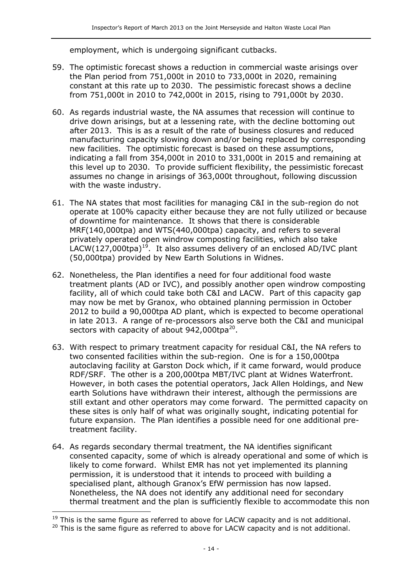employment, which is undergoing significant cutbacks.

- 59. The optimistic forecast shows a reduction in commercial waste arisings over the Plan period from 751,000t in 2010 to 733,000t in 2020, remaining constant at this rate up to 2030. The pessimistic forecast shows a decline from 751,000t in 2010 to 742,000t in 2015, rising to 791,000t by 2030.
- 60. As regards industrial waste, the NA assumes that recession will continue to drive down arisings, but at a lessening rate, with the decline bottoming out after 2013. This is as a result of the rate of business closures and reduced manufacturing capacity slowing down and/or being replaced by corresponding new facilities. The optimistic forecast is based on these assumptions, indicating a fall from 354,000t in 2010 to 331,000t in 2015 and remaining at this level up to 2030. To provide sufficient flexibility, the pessimistic forecast assumes no change in arisings of 363,000t throughout, following discussion with the waste industry.
- 61. The NA states that most facilities for managing C&I in the sub-region do not operate at 100% capacity either because they are not fully utilized or because of downtime for maintenance. It shows that there is considerable MRF(140,000tpa) and WTS(440,000tpa) capacity, and refers to several privately operated open windrow composting facilities, which also take LACW(127,000tpa)<sup>19</sup>. It also assumes delivery of an enclosed AD/IVC plant (50,000tpa) provided by New Earth Solutions in Widnes.
- 62. Nonetheless, the Plan identifies a need for four additional food waste treatment plants (AD or IVC), and possibly another open windrow composting facility, all of which could take both C&I and LACW. Part of this capacity gap may now be met by Granox, who obtained planning permission in October 2012 to build a 90,000tpa AD plant, which is expected to become operational in late 2013. A range of re-processors also serve both the C&I and municipal sectors with capacity of about  $942,000$ tpa<sup>20</sup>.
- 63. With respect to primary treatment capacity for residual C&I, the NA refers to two consented facilities within the sub-region. One is for a 150,000tpa autoclaving facility at Garston Dock which, if it came forward, would produce RDF/SRF. The other is a 200,000tpa MBT/IVC plant at Widnes Waterfront. However, in both cases the potential operators, Jack Allen Holdings, and New earth Solutions have withdrawn their interest, although the permissions are still extant and other operators may come forward. The permitted capacity on these sites is only half of what was originally sought, indicating potential for future expansion. The Plan identifies a possible need for one additional pretreatment facility.
- 64. As regards secondary thermal treatment, the NA identifies significant consented capacity, some of which is already operational and some of which is likely to come forward. Whilst EMR has not yet implemented its planning permission, it is understood that it intends to proceed with building a specialised plant, although Granox's EfW permission has now lapsed. Nonetheless, the NA does not identify any additional need for secondary thermal treatment and the plan is sufficiently flexible to accommodate this non

j

 $19$  This is the same figure as referred to above for LACW capacity and is not additional.

<sup>&</sup>lt;sup>20</sup> This is the same figure as referred to above for LACW capacity and is not additional.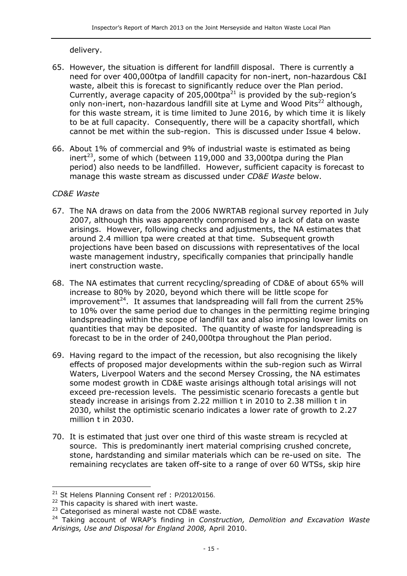delivery.

- 65. However, the situation is different for landfill disposal. There is currently a need for over 400,000tpa of landfill capacity for non-inert, non-hazardous C&I waste, albeit this is forecast to significantly reduce over the Plan period. Currently, average capacity of  $205,000$ tpa<sup>21</sup> is provided by the sub-region's only non-inert, non-hazardous landfill site at Lyme and Wood Pits<sup>22</sup> although, for this waste stream, it is time limited to June 2016, by which time it is likely to be at full capacity. Consequently, there will be a capacity shortfall, which cannot be met within the sub-region. This is discussed under Issue 4 below.
- 66. About 1% of commercial and 9% of industrial waste is estimated as being inert<sup>23</sup>, some of which (between 119,000 and 33,000tpa during the Plan period) also needs to be landfilled. However, sufficient capacity is forecast to manage this waste stream as discussed under *CD&E Waste* below.

#### *CD&E Waste*

- 67. The NA draws on data from the 2006 NWRTAB regional survey reported in July 2007, although this was apparently compromised by a lack of data on waste arisings. However, following checks and adjustments, the NA estimates that around 2.4 million tpa were created at that time. Subsequent growth projections have been based on discussions with representatives of the local waste management industry, specifically companies that principally handle inert construction waste.
- 68. The NA estimates that current recycling/spreading of CD&E of about 65% will increase to 80% by 2020, beyond which there will be little scope for improvement<sup>24</sup>. It assumes that landspreading will fall from the current 25% to 10% over the same period due to changes in the permitting regime bringing landspreading within the scope of landfill tax and also imposing lower limits on quantities that may be deposited. The quantity of waste for landspreading is forecast to be in the order of 240,000tpa throughout the Plan period.
- 69. Having regard to the impact of the recession, but also recognising the likely effects of proposed major developments within the sub-region such as Wirral Waters, Liverpool Waters and the second Mersey Crossing, the NA estimates some modest growth in CD&E waste arisings although total arisings will not exceed pre-recession levels. The pessimistic scenario forecasts a gentle but steady increase in arisings from 2.22 million t in 2010 to 2.38 million t in 2030, whilst the optimistic scenario indicates a lower rate of growth to 2.27 million t in 2030.
- 70. It is estimated that just over one third of this waste stream is recycled at source. This is predominantly inert material comprising crushed concrete, stone, hardstanding and similar materials which can be re-used on site. The remaining recyclates are taken off-site to a range of over 60 WTSs, skip hire

-

 $21$  St Helens Planning Consent ref : P/2012/0156.

 $22$  This capacity is shared with inert waste.

<sup>&</sup>lt;sup>23</sup> Categorised as mineral waste not CD&E waste.

<sup>24</sup> Taking account of WRAP's finding in *Construction, Demolition and Excavation Waste Arisings, Use and Disposal for England 2008,* April 2010.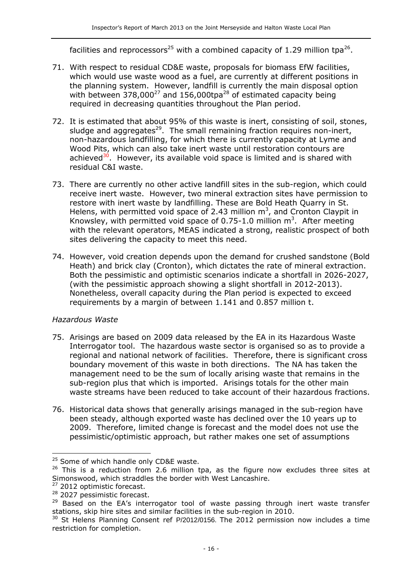facilities and reprocessors<sup>25</sup> with a combined capacity of 1.29 million tpa<sup>26</sup>.

- 71. With respect to residual CD&E waste, proposals for biomass EfW facilities, which would use waste wood as a fuel, are currently at different positions in the planning system. However, landfill is currently the main disposal option with between  $378,000^{27}$  and  $156,000$ tpa<sup>28</sup> of estimated capacity being required in decreasing quantities throughout the Plan period.
- 72. It is estimated that about 95% of this waste is inert, consisting of soil, stones, sludge and aggregates<sup>29</sup>. The small remaining fraction requires non-inert, non-hazardous landfilling, for which there is currently capacity at Lyme and Wood Pits, which can also take inert waste until restoration contours are achieved $30^{\circ}$ . However, its available void space is limited and is shared with residual C&I waste.
- 73. There are currently no other active landfill sites in the sub-region, which could receive inert waste. However, two mineral extraction sites have permission to restore with inert waste by landfilling. These are Bold Heath Quarry in St. Helens, with permitted void space of 2.43 million  $m<sup>3</sup>$ , and Cronton Claypit in Knowsley, with permitted void space of 0.75-1.0 million  $m<sup>3</sup>$ . After meeting with the relevant operators, MEAS indicated a strong, realistic prospect of both sites delivering the capacity to meet this need.
- 74. However, void creation depends upon the demand for crushed sandstone (Bold Heath) and brick clay (Cronton), which dictates the rate of mineral extraction. Both the pessimistic and optimistic scenarios indicate a shortfall in 2026-2027, (with the pessimistic approach showing a slight shortfall in 2012-2013). Nonetheless, overall capacity during the Plan period is expected to exceed requirements by a margin of between 1.141 and 0.857 million t.

#### *Hazardous Waste*

- 75. Arisings are based on 2009 data released by the EA in its Hazardous Waste Interrogator tool. The hazardous waste sector is organised so as to provide a regional and national network of facilities. Therefore, there is significant cross boundary movement of this waste in both directions. The NA has taken the management need to be the sum of locally arising waste that remains in the sub-region plus that which is imported. Arisings totals for the other main waste streams have been reduced to take account of their hazardous fractions.
- 76. Historical data shows that generally arisings managed in the sub-region have been steady, although exported waste has declined over the 10 years up to 2009. Therefore, limited change is forecast and the model does not use the pessimistic/optimistic approach, but rather makes one set of assumptions

<sup>27</sup> 2012 optimistic forecast.

<sup>&</sup>lt;sup>25</sup> Some of which handle only CD&E waste.

 $26$  This is a reduction from 2.6 million tpa, as the figure now excludes three sites at Simonswood, which straddles the border with West Lancashire.

<sup>&</sup>lt;sup>28</sup> 2027 pessimistic forecast.

<sup>&</sup>lt;sup>29</sup> Based on the EA's interrogator tool of waste passing through inert waste transfer stations, skip hire sites and similar facilities in the sub-region in 2010.

St Helens Planning Consent ref P/2012/0156. The 2012 permission now includes a time restriction for completion.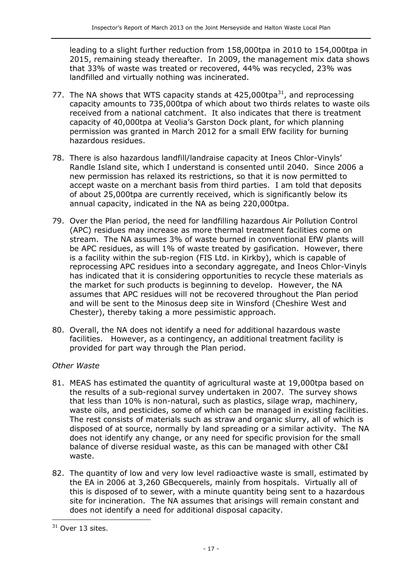leading to a slight further reduction from 158,000tpa in 2010 to 154,000tpa in 2015, remaining steady thereafter. In 2009, the management mix data shows that 33% of waste was treated or recovered, 44% was recycled, 23% was landfilled and virtually nothing was incinerated.

- 77. The NA shows that WTS capacity stands at  $425,000$ tpa $^{31}$ , and reprocessing capacity amounts to 735,000tpa of which about two thirds relates to waste oils received from a national catchment. It also indicates that there is treatment capacity of 40,000tpa at Veolia's Garston Dock plant, for which planning permission was granted in March 2012 for a small EfW facility for burning hazardous residues.
- 78. There is also hazardous landfill/landraise capacity at Ineos Chlor-Vinyls' Randle Island site, which I understand is consented until 2040. Since 2006 a new permission has relaxed its restrictions, so that it is now permitted to accept waste on a merchant basis from third parties. I am told that deposits of about 25,000tpa are currently received, which is significantly below its annual capacity, indicated in the NA as being 220,000tpa.
- 79. Over the Plan period, the need for landfilling hazardous Air Pollution Control (APC) residues may increase as more thermal treatment facilities come on stream. The NA assumes 3% of waste burned in conventional EfW plants will be APC residues, as will 1% of waste treated by gasification. However, there is a facility within the sub-region (FIS Ltd. in Kirkby), which is capable of reprocessing APC residues into a secondary aggregate, and Ineos Chlor-Vinyls has indicated that it is considering opportunities to recycle these materials as the market for such products is beginning to develop. However, the NA assumes that APC residues will not be recovered throughout the Plan period and will be sent to the Minosus deep site in Winsford (Cheshire West and Chester), thereby taking a more pessimistic approach.
- 80. Overall, the NA does not identify a need for additional hazardous waste facilities. However, as a contingency, an additional treatment facility is provided for part way through the Plan period.

#### *Other Waste*

- 81. MEAS has estimated the quantity of agricultural waste at 19,000tpa based on the results of a sub-regional survey undertaken in 2007. The survey shows that less than 10% is non-natural, such as plastics, silage wrap, machinery, waste oils, and pesticides, some of which can be managed in existing facilities. The rest consists of materials such as straw and organic slurry, all of which is disposed of at source, normally by land spreading or a similar activity. The NA does not identify any change, or any need for specific provision for the small balance of diverse residual waste, as this can be managed with other C&I waste.
- 82. The quantity of low and very low level radioactive waste is small, estimated by the EA in 2006 at 3,260 GBecquerels, mainly from hospitals. Virtually all of this is disposed of to sewer, with a minute quantity being sent to a hazardous site for incineration. The NA assumes that arisings will remain constant and does not identify a need for additional disposal capacity.

 $31$  Over 13 sites.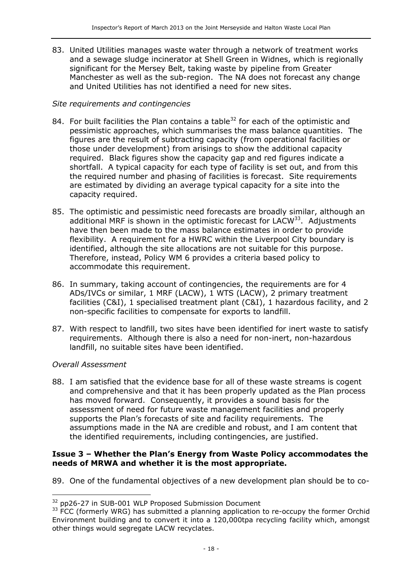83. United Utilities manages waste water through a network of treatment works and a sewage sludge incinerator at Shell Green in Widnes, which is regionally significant for the Mersey Belt, taking waste by pipeline from Greater Manchester as well as the sub-region. The NA does not forecast any change and United Utilities has not identified a need for new sites.

#### *Site requirements and contingencies*

- 84. For built facilities the Plan contains a table<sup>32</sup> for each of the optimistic and pessimistic approaches, which summarises the mass balance quantities. The figures are the result of subtracting capacity (from operational facilities or those under development) from arisings to show the additional capacity required. Black figures show the capacity gap and red figures indicate a shortfall. A typical capacity for each type of facility is set out, and from this the required number and phasing of facilities is forecast. Site requirements are estimated by dividing an average typical capacity for a site into the capacity required.
- 85. The optimistic and pessimistic need forecasts are broadly similar, although an additional MRF is shown in the optimistic forecast for LACW $33$ . Adjustments have then been made to the mass balance estimates in order to provide flexibility. A requirement for a HWRC within the Liverpool City boundary is identified, although the site allocations are not suitable for this purpose. Therefore, instead, Policy WM 6 provides a criteria based policy to accommodate this requirement.
- 86. In summary, taking account of contingencies, the requirements are for 4 ADs/IVCs or similar, 1 MRF (LACW), 1 WTS (LACW), 2 primary treatment facilities (C&I), 1 specialised treatment plant (C&I), 1 hazardous facility, and 2 non-specific facilities to compensate for exports to landfill.
- 87. With respect to landfill, two sites have been identified for inert waste to satisfy requirements. Although there is also a need for non-inert, non-hazardous landfill, no suitable sites have been identified.

#### *Overall Assessment*

 $\overline{a}$ 

88. I am satisfied that the evidence base for all of these waste streams is cogent and comprehensive and that it has been properly updated as the Plan process has moved forward. Consequently, it provides a sound basis for the assessment of need for future waste management facilities and properly supports the Plan's forecasts of site and facility requirements. The assumptions made in the NA are credible and robust, and I am content that the identified requirements, including contingencies, are justified.

#### **Issue 3 – Whether the Plan's Energy from Waste Policy accommodates the needs of MRWA and whether it is the most appropriate.**

89. One of the fundamental objectives of a new development plan should be to co-

<sup>&</sup>lt;sup>32</sup> pp26-27 in SUB-001 WLP Proposed Submission Document

<sup>&</sup>lt;sup>33</sup> FCC (formerly WRG) has submitted a planning application to re-occupy the former Orchid Environment building and to convert it into a 120,000tpa recycling facility which, amongst other things would segregate LACW recyclates.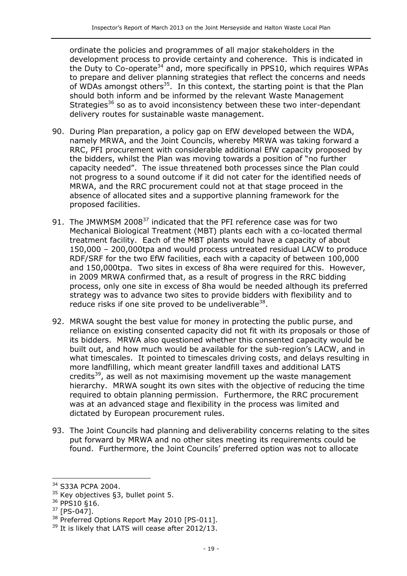ordinate the policies and programmes of all major stakeholders in the development process to provide certainty and coherence. This is indicated in the Duty to Co-operate<sup>34</sup> and, more specifically in PPS10, which requires WPAs to prepare and deliver planning strategies that reflect the concerns and needs of WDAs amongst others<sup>35</sup>. In this context, the starting point is that the Plan should both inform and be informed by the relevant Waste Management Strategies<sup>36</sup> so as to avoid inconsistency between these two inter-dependant delivery routes for sustainable waste management.

- 90. During Plan preparation, a policy gap on EfW developed between the WDA, namely MRWA, and the Joint Councils, whereby MRWA was taking forward a RRC, PFI procurement with considerable additional EfW capacity proposed by the bidders, whilst the Plan was moving towards a position of "no further capacity needed". The issue threatened both processes since the Plan could not progress to a sound outcome if it did not cater for the identified needs of MRWA, and the RRC procurement could not at that stage proceed in the absence of allocated sites and a supportive planning framework for the proposed facilities.
- 91. The JMWMSM 2008<sup>37</sup> indicated that the PFI reference case was for two Mechanical Biological Treatment (MBT) plants each with a co-located thermal treatment facility. Each of the MBT plants would have a capacity of about 150,000 – 200,000tpa and would process untreated residual LACW to produce RDF/SRF for the two EfW facilities, each with a capacity of between 100,000 and 150,000tpa. Two sites in excess of 8ha were required for this. However, in 2009 MRWA confirmed that, as a result of progress in the RRC bidding process, only one site in excess of 8ha would be needed although its preferred strategy was to advance two sites to provide bidders with flexibility and to reduce risks if one site proved to be undeliverable<sup>38</sup>.
- 92. MRWA sought the best value for money in protecting the public purse, and reliance on existing consented capacity did not fit with its proposals or those of its bidders. MRWA also questioned whether this consented capacity would be built out, and how much would be available for the sub-region's LACW, and in what timescales. It pointed to timescales driving costs, and delays resulting in more landfilling, which meant greater landfill taxes and additional LATS credits<sup>39</sup>, as well as not maximising movement up the waste management hierarchy. MRWA sought its own sites with the objective of reducing the time required to obtain planning permission. Furthermore, the RRC procurement was at an advanced stage and flexibility in the process was limited and dictated by European procurement rules.
- 93. The Joint Councils had planning and deliverability concerns relating to the sites put forward by MRWA and no other sites meeting its requirements could be found. Furthermore, the Joint Councils' preferred option was not to allocate

<sup>&</sup>lt;sup>34</sup> S33A PCPA 2004.

 $35$  Key objectives §3, bullet point 5.

<sup>36</sup> PPS10 §16.

<sup>37</sup> [PS-047].

<sup>&</sup>lt;sup>38</sup> Preferred Options Report May 2010 [PS-011].

<sup>&</sup>lt;sup>39</sup> It is likely that LATS will cease after 2012/13.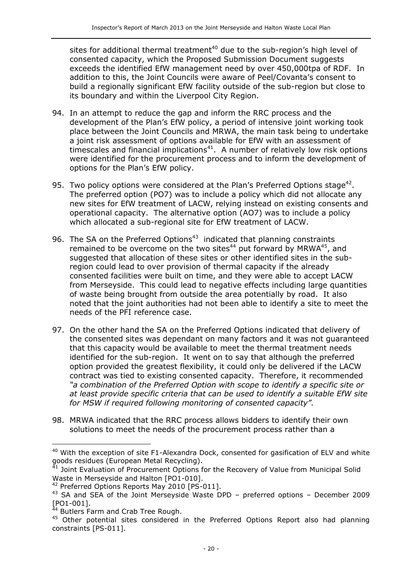sites for additional thermal treatment<sup>40</sup> due to the sub-region's high level of consented capacity, which the Proposed Submission Document suggests exceeds the identified EfW management need by over 450,000tpa of RDF. In addition to this, the Joint Councils were aware of Peel/Covanta's consent to build a regionally significant EfW facility outside of the sub-region but close to its boundary and within the Liverpool City Region.

- 94. In an attempt to reduce the gap and inform the RRC process and the development of the Plan's EfW policy, a period of intensive joint working took place between the Joint Councils and MRWA, the main task being to undertake a joint risk assessment of options available for EfW with an assessment of timescales and financial implications<sup>41</sup>. A number of relatively low risk options were identified for the procurement process and to inform the development of options for the Plan's EfW policy.
- 95. Two policy options were considered at the Plan's Preferred Options stage<sup>42</sup>. The preferred option (PO7) was to include a policy which did not allocate any new sites for EfW treatment of LACW, relying instead on existing consents and operational capacity. The alternative option (AO7) was to include a policy which allocated a sub-regional site for EfW treatment of LACW.
- 96. The SA on the Preferred Options<sup>43</sup> indicated that planning constraints remained to be overcome on the two sites<sup>44</sup> put forward by MRWA<sup>45</sup>, and suggested that allocation of these sites or other identified sites in the subregion could lead to over provision of thermal capacity if the already consented facilities were built on time, and they were able to accept LACW from Merseyside. This could lead to negative effects including large quantities of waste being brought from outside the area potentially by road. It also noted that the joint authorities had not been able to identify a site to meet the needs of the PFI reference case.
- 97. On the other hand the SA on the Preferred Options indicated that delivery of the consented sites was dependant on many factors and it was not guaranteed that this capacity would be available to meet the thermal treatment needs identified for the sub-region. It went on to say that although the preferred option provided the greatest flexibility, it could only be delivered if the LACW contract was tied to existing consented capacity. Therefore, it recommended *"a combination of the Preferred Option with scope to identify a specific site or at least provide specific criteria that can be used to identify a suitable EfW site for MSW if required following monitoring of consented capacity".*
- 98. MRWA indicated that the RRC process allows bidders to identify their own solutions to meet the needs of the procurement process rather than a

 $40$  With the exception of site F1-Alexandra Dock, consented for gasification of ELV and white goods residues (European Metal Recycling).<br><sup>41</sup> Joint Evaluation of D

<sup>41</sup> Joint Evaluation of Procurement Options for the Recovery of Value from Municipal Solid Waste in Merseyside and Halton [PO1-010].

<sup>&</sup>lt;sup>42</sup> Preferred Options Reports May 2010 [PS-011].

<sup>43</sup> SA and SEA of the Joint Merseyside Waste DPD – preferred options – December 2009 [PO1-001].

<sup>44</sup> Butlers Farm and Crab Tree Rough.

<sup>&</sup>lt;sup>45</sup> Other potential sites considered in the Preferred Options Report also had planning constraints [PS-011].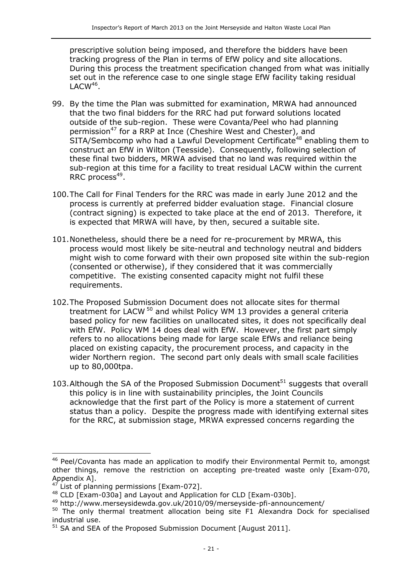prescriptive solution being imposed, and therefore the bidders have been tracking progress of the Plan in terms of EfW policy and site allocations. During this process the treatment specification changed from what was initially set out in the reference case to one single stage EfW facility taking residual  $\mathsf{LACW}^{46}$ .

- 99. By the time the Plan was submitted for examination, MRWA had announced that the two final bidders for the RRC had put forward solutions located outside of the sub-region. These were Covanta/Peel who had planning permission<sup>47</sup> for a RRP at Ince (Cheshire West and Chester), and SITA/Sembcomp who had a Lawful Development Certificate<sup>48</sup> enabling them to construct an EfW in Wilton (Teesside). Consequently, following selection of these final two bidders, MRWA advised that no land was required within the sub-region at this time for a facility to treat residual LACW within the current RRC process<sup>49</sup>.
- 100.The Call for Final Tenders for the RRC was made in early June 2012 and the process is currently at preferred bidder evaluation stage. Financial closure (contract signing) is expected to take place at the end of 2013. Therefore, it is expected that MRWA will have, by then, secured a suitable site.
- 101.Nonetheless, should there be a need for re-procurement by MRWA, this process would most likely be site-neutral and technology neutral and bidders might wish to come forward with their own proposed site within the sub-region (consented or otherwise), if they considered that it was commercially competitive. The existing consented capacity might not fulfil these requirements.
- 102.The Proposed Submission Document does not allocate sites for thermal treatment for LACW <sup>50</sup> and whilst Policy WM 13 provides a general criteria based policy for new facilities on unallocated sites, it does not specifically deal with EfW. Policy WM 14 does deal with EfW. However, the first part simply refers to no allocations being made for large scale EfWs and reliance being placed on existing capacity, the procurement process, and capacity in the wider Northern region. The second part only deals with small scale facilities up to 80,000tpa.
- 103. Although the SA of the Proposed Submission Document<sup>51</sup> suggests that overall this policy is in line with sustainability principles, the Joint Councils acknowledge that the first part of the Policy is more a statement of current status than a policy. Despite the progress made with identifying external sites for the RRC, at submission stage, MRWA expressed concerns regarding the

<sup>&</sup>lt;sup>46</sup> Peel/Covanta has made an application to modify their Environmental Permit to, amongst other things, remove the restriction on accepting pre-treated waste only [Exam-070, Appendix A].

 $47$  List of planning permissions [Exam-072].

<sup>48</sup> CLD [Exam-030a] and Layout and Application for CLD [Exam-030b].

<sup>49</sup> http://www.merseysidewda.gov.uk/2010/09/merseyside-pfi-announcement/

<sup>&</sup>lt;sup>50</sup> The only thermal treatment allocation being site F1 Alexandra Dock for specialised industrial use.

 $51$  SA and SEA of the Proposed Submission Document [August 2011].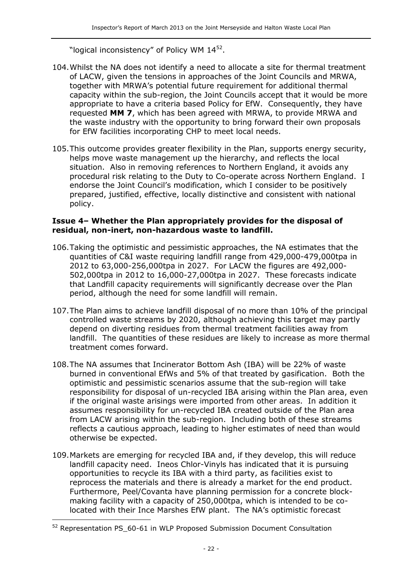"logical inconsistency" of Policy WM  $14^{52}$ .

- 104.Whilst the NA does not identify a need to allocate a site for thermal treatment of LACW, given the tensions in approaches of the Joint Councils and MRWA, together with MRWA's potential future requirement for additional thermal capacity within the sub-region, the Joint Councils accept that it would be more appropriate to have a criteria based Policy for EfW. Consequently, they have requested **MM 7**, which has been agreed with MRWA, to provide MRWA and the waste industry with the opportunity to bring forward their own proposals for EfW facilities incorporating CHP to meet local needs.
- 105.This outcome provides greater flexibility in the Plan, supports energy security, helps move waste management up the hierarchy, and reflects the local situation. Also in removing references to Northern England, it avoids any procedural risk relating to the Duty to Co-operate across Northern England. I endorse the Joint Council's modification, which I consider to be positively prepared, justified, effective, locally distinctive and consistent with national policy.

#### **Issue 4– Whether the Plan appropriately provides for the disposal of residual, non-inert, non-hazardous waste to landfill.**

- 106.Taking the optimistic and pessimistic approaches, the NA estimates that the quantities of C&I waste requiring landfill range from 429,000-479,000tpa in 2012 to 63,000-256,000tpa in 2027. For LACW the figures are 492,000- 502,000tpa in 2012 to 16,000-27,000tpa in 2027. These forecasts indicate that Landfill capacity requirements will significantly decrease over the Plan period, although the need for some landfill will remain.
- 107.The Plan aims to achieve landfill disposal of no more than 10% of the principal controlled waste streams by 2020, although achieving this target may partly depend on diverting residues from thermal treatment facilities away from landfill. The quantities of these residues are likely to increase as more thermal treatment comes forward.
- 108.The NA assumes that Incinerator Bottom Ash (IBA) will be 22% of waste burned in conventional EfWs and 5% of that treated by gasification. Both the optimistic and pessimistic scenarios assume that the sub-region will take responsibility for disposal of un-recycled IBA arising within the Plan area, even if the original waste arisings were imported from other areas. In addition it assumes responsibility for un-recycled IBA created outside of the Plan area from LACW arising within the sub-region. Including both of these streams reflects a cautious approach, leading to higher estimates of need than would otherwise be expected.
- 109.Markets are emerging for recycled IBA and, if they develop, this will reduce landfill capacity need. Ineos Chlor-Vinyls has indicated that it is pursuing opportunities to recycle its IBA with a third party, as facilities exist to reprocess the materials and there is already a market for the end product. Furthermore, Peel/Covanta have planning permission for a concrete blockmaking facility with a capacity of 250,000tpa, which is intended to be colocated with their Ince Marshes EfW plant. The NA's optimistic forecast

<sup>52</sup> Representation PS\_60-61 in WLP Proposed Submission Document Consultation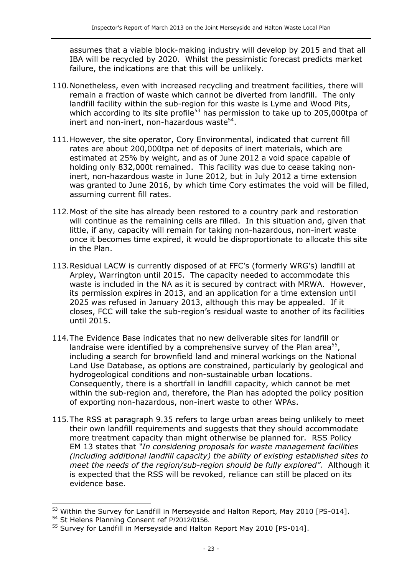assumes that a viable block-making industry will develop by 2015 and that all IBA will be recycled by 2020. Whilst the pessimistic forecast predicts market failure, the indications are that this will be unlikely.

- 110.Nonetheless, even with increased recycling and treatment facilities, there will remain a fraction of waste which cannot be diverted from landfill. The only landfill facility within the sub-region for this waste is Lyme and Wood Pits, which according to its site profile<sup>53</sup> has permission to take up to 205,000tpa of inert and non-inert, non-hazardous waste<sup>54</sup>.
- 111.However, the site operator, Cory Environmental, indicated that current fill rates are about 200,000tpa net of deposits of inert materials, which are estimated at 25% by weight, and as of June 2012 a void space capable of holding only 832,000t remained. This facility was due to cease taking noninert, non-hazardous waste in June 2012, but in July 2012 a time extension was granted to June 2016, by which time Cory estimates the void will be filled, assuming current fill rates.
- 112.Most of the site has already been restored to a country park and restoration will continue as the remaining cells are filled. In this situation and, given that little, if any, capacity will remain for taking non-hazardous, non-inert waste once it becomes time expired, it would be disproportionate to allocate this site in the Plan.
- 113.Residual LACW is currently disposed of at FFC's (formerly WRG's) landfill at Arpley, Warrington until 2015. The capacity needed to accommodate this waste is included in the NA as it is secured by contract with MRWA. However, its permission expires in 2013, and an application for a time extension until 2025 was refused in January 2013, although this may be appealed. If it closes, FCC will take the sub-region's residual waste to another of its facilities until 2015.
- 114.The Evidence Base indicates that no new deliverable sites for landfill or landraise were identified by a comprehensive survey of the Plan area $^{55}$ , including a search for brownfield land and mineral workings on the National Land Use Database, as options are constrained, particularly by geological and hydrogeological conditions and non-sustainable urban locations. Consequently, there is a shortfall in landfill capacity, which cannot be met within the sub-region and, therefore, the Plan has adopted the policy position of exporting non-hazardous, non-inert waste to other WPAs.
- 115.The RSS at paragraph 9.35 refers to large urban areas being unlikely to meet their own landfill requirements and suggests that they should accommodate more treatment capacity than might otherwise be planned for. RSS Policy EM 13 states that *"In considering proposals for waste management facilities (including additional landfill capacity) the ability of existing established sites to meet the needs of the region/sub-region should be fully explored".* Although it is expected that the RSS will be revoked, reliance can still be placed on its evidence base.

 $\overline{a}$ <sup>53</sup> Within the Survey for Landfill in Merseyside and Halton Report, May 2010 [PS-014].

<sup>&</sup>lt;sup>54</sup> St Helens Planning Consent ref P/2012/0156.

<sup>&</sup>lt;sup>55</sup> Survey for Landfill in Merseyside and Halton Report May 2010 [PS-014].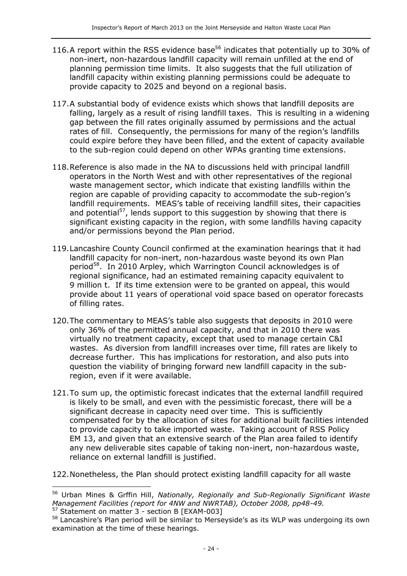- 116.A report within the RSS evidence base<sup>56</sup> indicates that potentially up to 30% of non-inert, non-hazardous landfill capacity will remain unfilled at the end of planning permission time limits. It also suggests that the full utilization of landfill capacity within existing planning permissions could be adequate to provide capacity to 2025 and beyond on a regional basis.
- 117.A substantial body of evidence exists which shows that landfill deposits are falling, largely as a result of rising landfill taxes. This is resulting in a widening gap between the fill rates originally assumed by permissions and the actual rates of fill. Consequently, the permissions for many of the region's landfills could expire before they have been filled, and the extent of capacity available to the sub-region could depend on other WPAs granting time extensions.
- 118.Reference is also made in the NA to discussions held with principal landfill operators in the North West and with other representatives of the regional waste management sector, which indicate that existing landfills within the region are capable of providing capacity to accommodate the sub-region's landfill requirements. MEAS's table of receiving landfill sites, their capacities and potential<sup>57</sup>, lends support to this suggestion by showing that there is significant existing capacity in the region, with some landfills having capacity and/or permissions beyond the Plan period.
- 119.Lancashire County Council confirmed at the examination hearings that it had landfill capacity for non-inert, non-hazardous waste beyond its own Plan period<sup>58</sup>. In 2010 Arpley, which Warrington Council acknowledges is of regional significance, had an estimated remaining capacity equivalent to 9 million t. If its time extension were to be granted on appeal, this would provide about 11 years of operational void space based on operator forecasts of filling rates.
- 120.The commentary to MEAS's table also suggests that deposits in 2010 were only 36% of the permitted annual capacity, and that in 2010 there was virtually no treatment capacity, except that used to manage certain C&I wastes. As diversion from landfill increases over time, fill rates are likely to decrease further. This has implications for restoration, and also puts into question the viability of bringing forward new landfill capacity in the subregion, even if it were available.
- 121.To sum up, the optimistic forecast indicates that the external landfill required is likely to be small, and even with the pessimistic forecast, there will be a significant decrease in capacity need over time. This is sufficiently compensated for by the allocation of sites for additional built facilities intended to provide capacity to take imported waste. Taking account of RSS Policy EM 13, and given that an extensive search of the Plan area failed to identify any new deliverable sites capable of taking non-inert, non-hazardous waste, reliance on external landfill is justified.
- 122.Nonetheless, the Plan should protect existing landfill capacity for all waste

<sup>57</sup> Statement on matter 3 - section B [EXAM-003]

-

<sup>56</sup> Urban Mines & Grffin Hill, *Nationally, Regionally and Sub-Regionally Significant Waste Management Facilities (report for 4NW and NWRTAB), October 2008, pp48-49.*

<sup>&</sup>lt;sup>58</sup> Lancashire's Plan period will be similar to Merseyside's as its WLP was undergoing its own examination at the time of these hearings.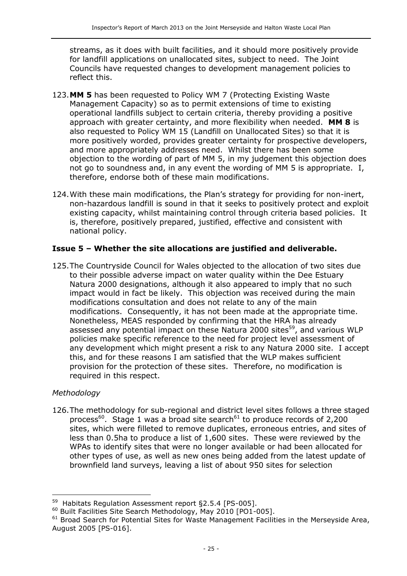streams, as it does with built facilities, and it should more positively provide for landfill applications on unallocated sites, subject to need. The Joint Councils have requested changes to development management policies to reflect this.

- 123.**MM 5** has been requested to Policy WM 7 (Protecting Existing Waste Management Capacity) so as to permit extensions of time to existing operational landfills subject to certain criteria, thereby providing a positive approach with greater certainty, and more flexibility when needed. **MM 8** is also requested to Policy WM 15 (Landfill on Unallocated Sites) so that it is more positively worded, provides greater certainty for prospective developers, and more appropriately addresses need. Whilst there has been some objection to the wording of part of MM 5, in my judgement this objection does not go to soundness and, in any event the wording of MM 5 is appropriate. I, therefore, endorse both of these main modifications.
- 124.With these main modifications, the Plan's strategy for providing for non-inert, non-hazardous landfill is sound in that it seeks to positively protect and exploit existing capacity, whilst maintaining control through criteria based policies. It is, therefore, positively prepared, justified, effective and consistent with national policy.

#### **Issue 5 – Whether the site allocations are justified and deliverable.**

125.The Countryside Council for Wales objected to the allocation of two sites due to their possible adverse impact on water quality within the Dee Estuary Natura 2000 designations, although it also appeared to imply that no such impact would in fact be likely. This objection was received during the main modifications consultation and does not relate to any of the main modifications. Consequently, it has not been made at the appropriate time. Nonetheless, MEAS responded by confirming that the HRA has already assessed any potential impact on these Natura 2000 sites<sup>59</sup>, and various WLP policies make specific reference to the need for project level assessment of any development which might present a risk to any Natura 2000 site. I accept this, and for these reasons I am satisfied that the WLP makes sufficient provision for the protection of these sites. Therefore, no modification is required in this respect.

#### *Methodology*

 $\overline{a}$ 

126.The methodology for sub-regional and district level sites follows a three staged process<sup>60</sup>. Stage 1 was a broad site search<sup>61</sup> to produce records of 2,200 sites, which were filleted to remove duplicates, erroneous entries, and sites of less than 0.5ha to produce a list of 1,600 sites. These were reviewed by the WPAs to identify sites that were no longer available or had been allocated for other types of use, as well as new ones being added from the latest update of brownfield land surveys, leaving a list of about 950 sites for selection

<sup>&</sup>lt;sup>59</sup> Habitats Regulation Assessment report §2.5.4 [PS-005].

<sup>60</sup> Built Facilities Site Search Methodology, May 2010 [PO1-005].

 $61$  Broad Search for Potential Sites for Waste Management Facilities in the Merseyside Area, August 2005 [PS-016].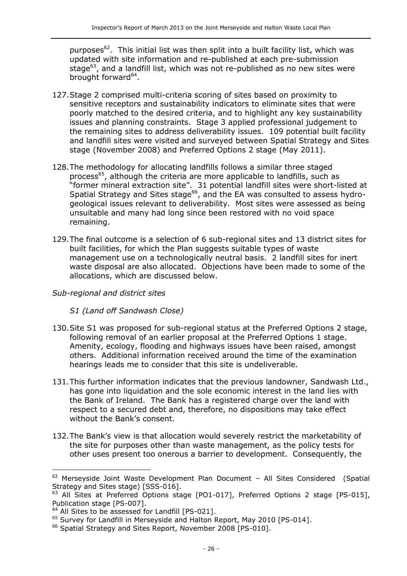purposes<sup>62</sup>. This initial list was then split into a built facility list, which was updated with site information and re-published at each pre-submission stage $^{63}$ , and a landfill list, which was not re-published as no new sites were brought forward<sup>64</sup>.

- 127.Stage 2 comprised multi-criteria scoring of sites based on proximity to sensitive receptors and sustainability indicators to eliminate sites that were poorly matched to the desired criteria, and to highlight any key sustainability issues and planning constraints. Stage 3 applied professional judgement to the remaining sites to address deliverability issues. 109 potential built facility and landfill sites were visited and surveyed between Spatial Strategy and Sites stage (November 2008) and Preferred Options 2 stage (May 2011).
- 128.The methodology for allocating landfills follows a similar three staged process<sup>65</sup>, although the criteria are more applicable to landfills, such as "former mineral extraction site". 31 potential landfill sites were short-listed at Spatial Strategy and Sites stage<sup>66</sup>, and the EA was consulted to assess hydrogeological issues relevant to deliverability. Most sites were assessed as being unsuitable and many had long since been restored with no void space remaining.
- 129.The final outcome is a selection of 6 sub-regional sites and 13 district sites for built facilities, for which the Plan suggests suitable types of waste management use on a technologically neutral basis. 2 landfill sites for inert waste disposal are also allocated. Objections have been made to some of the allocations, which are discussed below.

#### *Sub-regional and district sites*

#### *S1 (Land off Sandwash Close)*

- 130.Site S1 was proposed for sub-regional status at the Preferred Options 2 stage, following removal of an earlier proposal at the Preferred Options 1 stage. Amenity, ecology, flooding and highways issues have been raised, amongst others. Additional information received around the time of the examination hearings leads me to consider that this site is undeliverable.
- 131.This further information indicates that the previous landowner, Sandwash Ltd., has gone into liquidation and the sole economic interest in the land lies with the Bank of Ireland. The Bank has a registered charge over the land with respect to a secured debt and, therefore, no dispositions may take effect without the Bank's consent.
- 132.The Bank's view is that allocation would severely restrict the marketability of the site for purposes other than waste management, as the policy tests for other uses present too onerous a barrier to development. Consequently, the

j

 $62$  Merseyside Joint Waste Development Plan Document - All Sites Considered (Spatial Strategy and Sites stage) [SSS-016].

<sup>&</sup>lt;sup>63</sup> All Sites at Preferred Options stage [PO1-017], Preferred Options 2 stage [PS-015], Publication stage [PS-007].

<sup>&</sup>lt;sup>64</sup> All Sites to be assessed for Landfill [PS-021].

<sup>&</sup>lt;sup>65</sup> Survey for Landfill in Merseyside and Halton Report, May 2010 [PS-014].

<sup>&</sup>lt;sup>66</sup> Spatial Strategy and Sites Report, November 2008 [PS-010].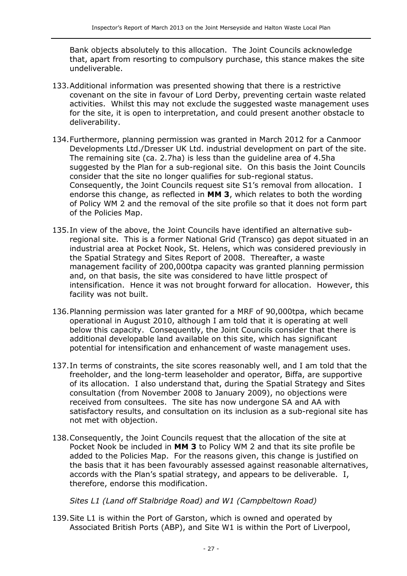Bank objects absolutely to this allocation. The Joint Councils acknowledge that, apart from resorting to compulsory purchase, this stance makes the site undeliverable.

- 133.Additional information was presented showing that there is a restrictive covenant on the site in favour of Lord Derby, preventing certain waste related activities. Whilst this may not exclude the suggested waste management uses for the site, it is open to interpretation, and could present another obstacle to deliverability.
- 134.Furthermore, planning permission was granted in March 2012 for a Canmoor Developments Ltd./Dresser UK Ltd. industrial development on part of the site. The remaining site (ca. 2.7ha) is less than the guideline area of 4.5ha suggested by the Plan for a sub-regional site. On this basis the Joint Councils consider that the site no longer qualifies for sub-regional status. Consequently, the Joint Councils request site S1's removal from allocation. I endorse this change, as reflected in **MM 3**, which relates to both the wording of Policy WM 2 and the removal of the site profile so that it does not form part of the Policies Map.
- 135.In view of the above, the Joint Councils have identified an alternative subregional site. This is a former National Grid (Transco) gas depot situated in an industrial area at Pocket Nook, St. Helens, which was considered previously in the Spatial Strategy and Sites Report of 2008. Thereafter, a waste management facility of 200,000tpa capacity was granted planning permission and, on that basis, the site was considered to have little prospect of intensification. Hence it was not brought forward for allocation. However, this facility was not built.
- 136.Planning permission was later granted for a MRF of 90,000tpa, which became operational in August 2010, although I am told that it is operating at well below this capacity. Consequently, the Joint Councils consider that there is additional developable land available on this site, which has significant potential for intensification and enhancement of waste management uses.
- 137.In terms of constraints, the site scores reasonably well, and I am told that the freeholder, and the long-term leaseholder and operator, Biffa, are supportive of its allocation. I also understand that, during the Spatial Strategy and Sites consultation (from November 2008 to January 2009), no objections were received from consultees. The site has now undergone SA and AA with satisfactory results, and consultation on its inclusion as a sub-regional site has not met with objection.
- 138.Consequently, the Joint Councils request that the allocation of the site at Pocket Nook be included in **MM 3** to Policy WM 2 and that its site profile be added to the Policies Map. For the reasons given, this change is justified on the basis that it has been favourably assessed against reasonable alternatives, accords with the Plan's spatial strategy, and appears to be deliverable. I, therefore, endorse this modification.

*Sites L1 (Land off Stalbridge Road) and W1 (Campbeltown Road)*

139.Site L1 is within the Port of Garston, which is owned and operated by Associated British Ports (ABP), and Site W1 is within the Port of Liverpool,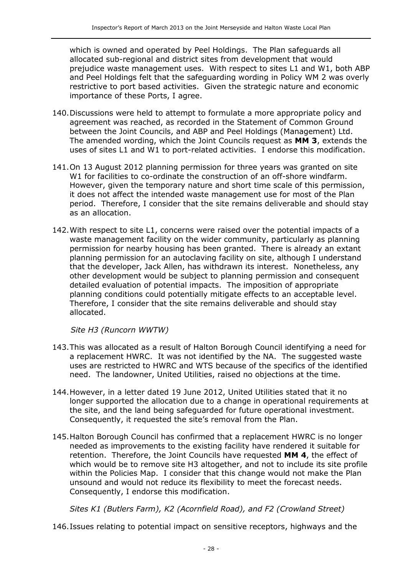which is owned and operated by Peel Holdings. The Plan safeguards all allocated sub-regional and district sites from development that would prejudice waste management uses. With respect to sites L1 and W1, both ABP and Peel Holdings felt that the safeguarding wording in Policy WM 2 was overly restrictive to port based activities. Given the strategic nature and economic importance of these Ports, I agree.

- 140.Discussions were held to attempt to formulate a more appropriate policy and agreement was reached, as recorded in the Statement of Common Ground between the Joint Councils, and ABP and Peel Holdings (Management) Ltd. The amended wording, which the Joint Councils request as **MM 3**, extends the uses of sites L1 and W1 to port-related activities. I endorse this modification.
- 141.On 13 August 2012 planning permission for three years was granted on site W1 for facilities to co-ordinate the construction of an off-shore windfarm. However, given the temporary nature and short time scale of this permission, it does not affect the intended waste management use for most of the Plan period. Therefore, I consider that the site remains deliverable and should stay as an allocation.
- 142.With respect to site L1, concerns were raised over the potential impacts of a waste management facility on the wider community, particularly as planning permission for nearby housing has been granted. There is already an extant planning permission for an autoclaving facility on site, although I understand that the developer, Jack Allen, has withdrawn its interest. Nonetheless, any other development would be subject to planning permission and consequent detailed evaluation of potential impacts. The imposition of appropriate planning conditions could potentially mitigate effects to an acceptable level. Therefore, I consider that the site remains deliverable and should stay allocated.

*Site H3 (Runcorn WWTW)*

- 143.This was allocated as a result of Halton Borough Council identifying a need for a replacement HWRC. It was not identified by the NA. The suggested waste uses are restricted to HWRC and WTS because of the specifics of the identified need. The landowner, United Utilities, raised no objections at the time.
- 144.However, in a letter dated 19 June 2012, United Utilities stated that it no longer supported the allocation due to a change in operational requirements at the site, and the land being safeguarded for future operational investment. Consequently, it requested the site's removal from the Plan.
- 145.Halton Borough Council has confirmed that a replacement HWRC is no longer needed as improvements to the existing facility have rendered it suitable for retention. Therefore, the Joint Councils have requested **MM 4**, the effect of which would be to remove site H3 altogether, and not to include its site profile within the Policies Map. I consider that this change would not make the Plan unsound and would not reduce its flexibility to meet the forecast needs. Consequently, I endorse this modification.

*Sites K1 (Butlers Farm), K2 (Acornfield Road), and F2 (Crowland Street)*

146.Issues relating to potential impact on sensitive receptors, highways and the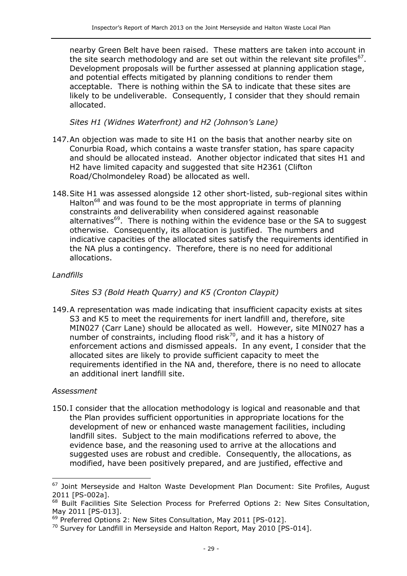nearby Green Belt have been raised. These matters are taken into account in the site search methodology and are set out within the relevant site profiles<sup>67</sup>. Development proposals will be further assessed at planning application stage, and potential effects mitigated by planning conditions to render them acceptable. There is nothing within the SA to indicate that these sites are likely to be undeliverable. Consequently, I consider that they should remain allocated.

*Sites H1 (Widnes Waterfront) and H2 (Johnson's Lane)*

- 147.An objection was made to site H1 on the basis that another nearby site on Conurbia Road, which contains a waste transfer station, has spare capacity and should be allocated instead. Another objector indicated that sites H1 and H2 have limited capacity and suggested that site H2361 (Clifton Road/Cholmondeley Road) be allocated as well.
- 148.Site H1 was assessed alongside 12 other short-listed, sub-regional sites within Halton $^{68}$  and was found to be the most appropriate in terms of planning constraints and deliverability when considered against reasonable alternatives $69$ . There is nothing within the evidence base or the SA to suggest otherwise. Consequently, its allocation is justified. The numbers and indicative capacities of the allocated sites satisfy the requirements identified in the NA plus a contingency. Therefore, there is no need for additional allocations.

#### *Landfills*

*Sites S3 (Bold Heath Quarry) and K5 (Cronton Claypit)*

149.A representation was made indicating that insufficient capacity exists at sites S3 and K5 to meet the requirements for inert landfill and, therefore, site MIN027 (Carr Lane) should be allocated as well. However, site MIN027 has a number of constraints, including flood risk<sup>70</sup>, and it has a history of enforcement actions and dismissed appeals. In any event, I consider that the allocated sites are likely to provide sufficient capacity to meet the requirements identified in the NA and, therefore, there is no need to allocate an additional inert landfill site.

#### *Assessment*

 $\overline{a}$ 

150.I consider that the allocation methodology is logical and reasonable and that the Plan provides sufficient opportunities in appropriate locations for the development of new or enhanced waste management facilities, including landfill sites. Subject to the main modifications referred to above, the evidence base, and the reasoning used to arrive at the allocations and suggested uses are robust and credible. Consequently, the allocations, as modified, have been positively prepared, and are justified, effective and

<sup>&</sup>lt;sup>67</sup> Joint Merseyside and Halton Waste Development Plan Document: Site Profiles, August 2011 [PS-002a].

<sup>&</sup>lt;sup>68</sup> Built Facilities Site Selection Process for Preferred Options 2: New Sites Consultation, May 2011 [PS-013].

<sup>&</sup>lt;sup>69</sup> Preferred Options 2: New Sites Consultation, May 2011 [PS-012].

<sup>&</sup>lt;sup>70</sup> Survey for Landfill in Merseyside and Halton Report, May 2010 [PS-014].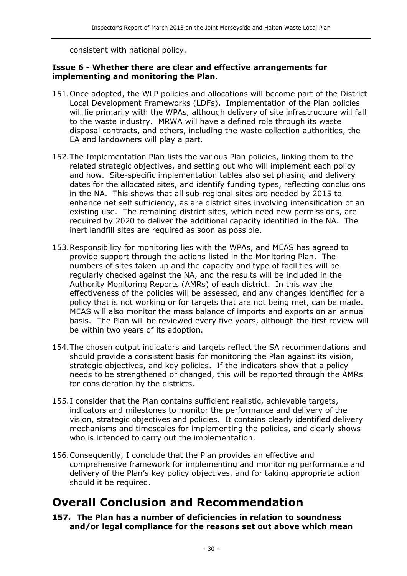consistent with national policy.

#### **Issue 6 - Whether there are clear and effective arrangements for implementing and monitoring the Plan.**

- 151.Once adopted, the WLP policies and allocations will become part of the District Local Development Frameworks (LDFs). Implementation of the Plan policies will lie primarily with the WPAs, although delivery of site infrastructure will fall to the waste industry. MRWA will have a defined role through its waste disposal contracts, and others, including the waste collection authorities, the EA and landowners will play a part.
- 152.The Implementation Plan lists the various Plan policies, linking them to the related strategic objectives, and setting out who will implement each policy and how. Site-specific implementation tables also set phasing and delivery dates for the allocated sites, and identify funding types, reflecting conclusions in the NA. This shows that all sub-regional sites are needed by 2015 to enhance net self sufficiency, as are district sites involving intensification of an existing use. The remaining district sites, which need new permissions, are required by 2020 to deliver the additional capacity identified in the NA. The inert landfill sites are required as soon as possible.
- 153.Responsibility for monitoring lies with the WPAs, and MEAS has agreed to provide support through the actions listed in the Monitoring Plan. The numbers of sites taken up and the capacity and type of facilities will be regularly checked against the NA, and the results will be included in the Authority Monitoring Reports (AMRs) of each district. In this way the effectiveness of the policies will be assessed, and any changes identified for a policy that is not working or for targets that are not being met, can be made. MEAS will also monitor the mass balance of imports and exports on an annual basis. The Plan will be reviewed every five years, although the first review will be within two years of its adoption.
- 154.The chosen output indicators and targets reflect the SA recommendations and should provide a consistent basis for monitoring the Plan against its vision, strategic objectives, and key policies. If the indicators show that a policy needs to be strengthened or changed, this will be reported through the AMRs for consideration by the districts.
- 155.I consider that the Plan contains sufficient realistic, achievable targets, indicators and milestones to monitor the performance and delivery of the vision, strategic objectives and policies. It contains clearly identified delivery mechanisms and timescales for implementing the policies, and clearly shows who is intended to carry out the implementation.
- 156.Consequently, I conclude that the Plan provides an effective and comprehensive framework for implementing and monitoring performance and delivery of the Plan's key policy objectives, and for taking appropriate action should it be required.

### **Overall Conclusion and Recommendation**

**157. The Plan has a number of deficiencies in relation to soundness and/or legal compliance for the reasons set out above which mean**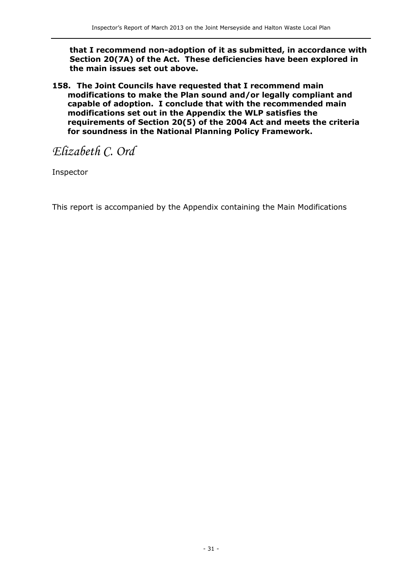**that I recommend non-adoption of it as submitted, in accordance with Section 20(7A) of the Act. These deficiencies have been explored in the main issues set out above.**

**158. The Joint Councils have requested that I recommend main modifications to make the Plan sound and/or legally compliant and capable of adoption. I conclude that with the recommended main modifications set out in the Appendix the WLP satisfies the requirements of Section 20(5) of the 2004 Act and meets the criteria for soundness in the National Planning Policy Framework.** 

## *Elizabeth C. Ord*

Inspector

This report is accompanied by the Appendix containing the Main Modifications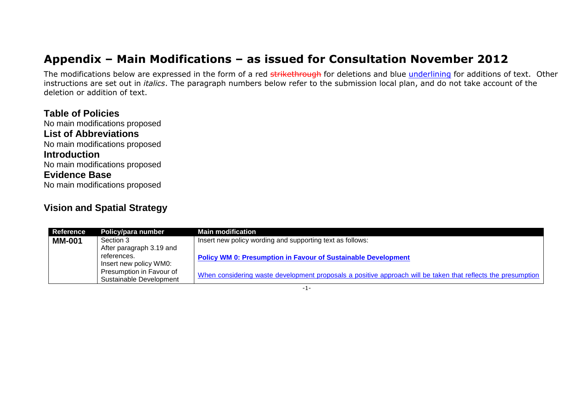# **Appendix – Main Modifications – as issued for Consultation November 2012**

The modifications below are expressed in the form of a red strikethrough for deletions and blue underlining for additions of text. Other instructions are set out in *italics*. The paragraph numbers below refer to the submission local plan, and do not take account of the deletion or addition of text.

**Table of Policies** No main modifications proposed **List of Abbreviations** No main modifications proposed **Introduction** No main modifications proposed **Evidence Base** No main modifications proposed

#### **Vision and Spatial Strategy**

| <b>Reference</b> | Policy/para number       | <b>Main modification</b>                                                                                     |
|------------------|--------------------------|--------------------------------------------------------------------------------------------------------------|
| <b>MM-001</b>    | Section 3                | Insert new policy wording and supporting text as follows:                                                    |
|                  | After paragraph 3.19 and |                                                                                                              |
|                  | references.              | <b>Policy WM 0: Presumption in Favour of Sustainable Development</b>                                         |
|                  | Insert new policy WM0:   |                                                                                                              |
|                  | Presumption in Favour of | When considering waste development proposals a positive approach will be taken that reflects the presumption |
|                  | Sustainable Development  |                                                                                                              |

-1-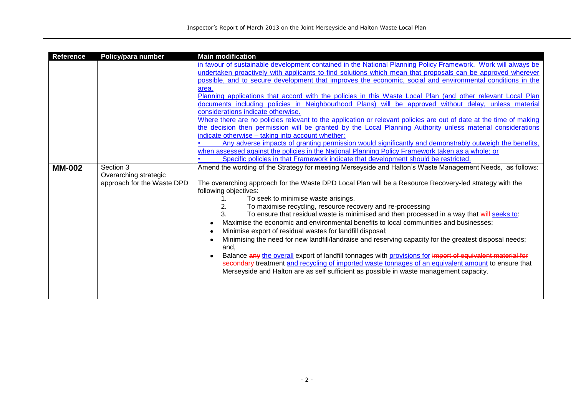| <b>Reference</b> | Policy/para number         | <b>Main modification</b>                                                                                            |
|------------------|----------------------------|---------------------------------------------------------------------------------------------------------------------|
|                  |                            | in favour of sustainable development contained in the National Planning Policy Framework. Work will always be       |
|                  |                            | undertaken proactively with applicants to find solutions which mean that proposals can be approved wherever         |
|                  |                            | possible, and to secure development that improves the economic, social and environmental conditions in the          |
|                  |                            | area.                                                                                                               |
|                  |                            | Planning applications that accord with the policies in this Waste Local Plan (and other relevant Local Plan         |
|                  |                            | documents including policies in Neighbourhood Plans) will be approved without delay, unless material                |
|                  |                            | considerations indicate otherwise.                                                                                  |
|                  |                            | Where there are no policies relevant to the application or relevant policies are out of date at the time of making  |
|                  |                            | the decision then permission will be granted by the Local Planning Authority unless material considerations         |
|                  |                            | indicate otherwise - taking into account whether:                                                                   |
|                  |                            | Any adverse impacts of granting permission would significantly and demonstrably outweigh the benefits,              |
|                  |                            | when assessed against the policies in the National Planning Policy Framework taken as a whole; or                   |
|                  |                            | Specific policies in that Framework indicate that development should be restricted.                                 |
| <b>MM-002</b>    | Section 3                  | Amend the wording of the Strategy for meeting Merseyside and Halton's Waste Management Needs, as follows:           |
|                  | Overarching strategic      |                                                                                                                     |
|                  | approach for the Waste DPD | The overarching approach for the Waste DPD Local Plan will be a Resource Recovery-led strategy with the             |
|                  |                            | following objectives:                                                                                               |
|                  |                            | To seek to minimise waste arisings.                                                                                 |
|                  |                            | To maximise recycling, resource recovery and re-processing<br>2.                                                    |
|                  |                            | 3.<br>To ensure that residual waste is minimised and then processed in a way that will-seeks to:                    |
|                  |                            | Maximise the economic and environmental benefits to local communities and businesses;                               |
|                  |                            | Minimise export of residual wastes for landfill disposal;<br>$\bullet$                                              |
|                  |                            | Minimising the need for new landfill/landraise and reserving capacity for the greatest disposal needs;<br>$\bullet$ |
|                  |                            | and,                                                                                                                |
|                  |                            | Balance any the overall export of landfill tonnages with provisions for import of equivalent material for           |
|                  |                            | secondary treatment and recycling of imported waste tonnages of an equivalent amount to ensure that                 |
|                  |                            | Merseyside and Halton are as self sufficient as possible in waste management capacity.                              |
|                  |                            |                                                                                                                     |
|                  |                            |                                                                                                                     |
|                  |                            |                                                                                                                     |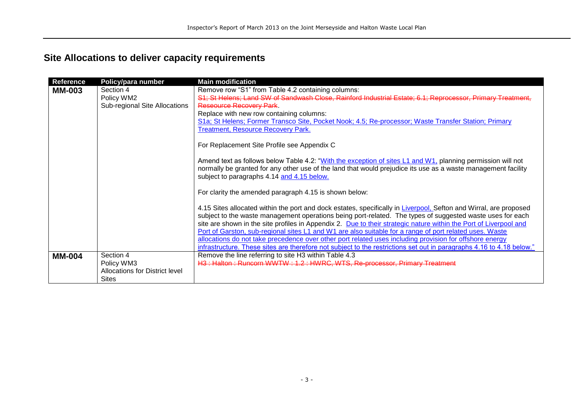### **Site Allocations to deliver capacity requirements**

| <b>Reference</b> | Policy/para number             | <b>Main modification</b>                                                                                             |
|------------------|--------------------------------|----------------------------------------------------------------------------------------------------------------------|
| <b>MM-003</b>    | Section 4                      | Remove row "S1" from Table 4.2 containing columns:                                                                   |
|                  | Policy WM2                     | S1; St Helens; Land SW of Sandwash Close, Rainford Industrial Estate; 6.1; Reprocessor, Primary Treatment,           |
|                  | Sub-regional Site Allocations  | Reseource Recovery Park.                                                                                             |
|                  |                                | Replace with new row containing columns:                                                                             |
|                  |                                | S1a; St Helens; Former Transco Site, Pocket Nook; 4.5; Re-processor; Waste Transfer Station; Primary                 |
|                  |                                | <b>Treatment, Resource Recovery Park.</b>                                                                            |
|                  |                                | For Replacement Site Profile see Appendix C                                                                          |
|                  |                                | Amend text as follows below Table 4.2: "With the exception of sites L1 and W1, planning permission will not          |
|                  |                                | normally be granted for any other use of the land that would prejudice its use as a waste management facility        |
|                  |                                | subject to paragraphs 4.14 and 4.15 below.                                                                           |
|                  |                                | For clarity the amended paragraph 4.15 is shown below:                                                               |
|                  |                                | 4.15 Sites allocated within the port and dock estates, specifically in Liverpool, Sefton and Wirral, are proposed    |
|                  |                                | subject to the waste management operations being port-related. The types of suggested waste uses for each            |
|                  |                                | site are shown in the site profiles in Appendix 2. Due to their strategic nature within the Port of Liverpool and    |
|                  |                                | Port of Garston, sub-regional sites L1 and W1 are also suitable for a range of port related uses. Waste              |
|                  |                                | allocations do not take precedence over other port related uses including provision for offshore energy              |
|                  |                                | infrastructure. These sites are therefore not subject to the restrictions set out in paragraphs 4.16 to 4.18 below." |
| <b>MM-004</b>    | Section 4                      | Remove the line referring to site H3 within Table 4.3                                                                |
|                  | Policy WM3                     | H3: Halton: Runcorn WWTW: 1.2: HWRC, WTS, Re-processor, Primary Treatment                                            |
|                  | Allocations for District level |                                                                                                                      |
|                  | <b>Sites</b>                   |                                                                                                                      |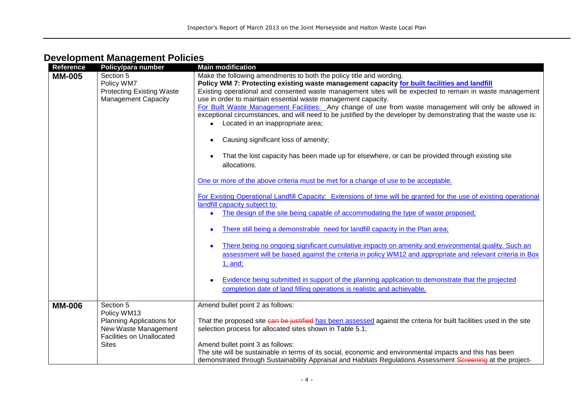| <b>Reference</b> | Policy/para number                                                                                   | <b>Main modification</b>                                                                                                                                                                                                 |
|------------------|------------------------------------------------------------------------------------------------------|--------------------------------------------------------------------------------------------------------------------------------------------------------------------------------------------------------------------------|
| <b>MM-005</b>    | Section 5<br>Policy WM7                                                                              | Make the following amendments to both the policy title and wording.<br>Policy WM 7: Protecting existing waste management capacity for built facilities and landfill                                                      |
|                  | <b>Protecting Existing Waste</b>                                                                     | Existing operational and consented waste management sites will be expected to remain in waste management                                                                                                                 |
|                  | <b>Management Capacity</b>                                                                           | use in order to maintain essential waste management capacity.<br>For Built Waste Management Facilities: Any change of use from waste management will only be allowed in                                                  |
|                  |                                                                                                      | exceptional circumstances, and will need to be justified by the developer by demonstrating that the waste use is:<br>• Located in an inappropriate area;                                                                 |
|                  |                                                                                                      | Causing significant loss of amenity;                                                                                                                                                                                     |
|                  |                                                                                                      | That the lost capacity has been made up for elsewhere, or can be provided through existing site<br>allocations.                                                                                                          |
|                  |                                                                                                      | One or more of the above criteria must be met for a change of use to be acceptable.                                                                                                                                      |
|                  |                                                                                                      | For Existing Operational Landfill Capacity: Extensions of time will be granted for the use of existing operational<br>landfill capacity subject to:                                                                      |
|                  |                                                                                                      | The design of the site being capable of accommodating the type of waste proposed;                                                                                                                                        |
|                  |                                                                                                      | There still being a demonstrable need for landfill capacity in the Plan area;                                                                                                                                            |
|                  |                                                                                                      | There being no ongoing significant cumulative impacts on amenity and environmental quality. Such an<br>assessment will be based against the criteria in policy WM12 and appropriate and relevant criteria in Box         |
|                  |                                                                                                      | 1, and;                                                                                                                                                                                                                  |
|                  |                                                                                                      | Evidence being submitted in support of the planning application to demonstrate that the projected<br>completion date of land filling operations is realistic and achievable.                                             |
| <b>MM-006</b>    | Section 5                                                                                            | Amend bullet point 2 as follows:                                                                                                                                                                                         |
|                  | Policy WM13<br>Planning Applications for<br>New Waste Management<br><b>Facilities on Unallocated</b> | That the proposed site can be justified has been assessed against the criteria for built facilities used in the site<br>selection process for allocated sites shown in Table 5.1;                                        |
|                  | <b>Sites</b>                                                                                         | Amend bullet point 3 as follows:                                                                                                                                                                                         |
|                  |                                                                                                      | The site will be sustainable in terms of its social, economic and environmental impacts and this has been<br>demonstrated through Sustainability Appraisal and Habitats Regulations Assessment Screening at the project- |

### **Development Management Policies**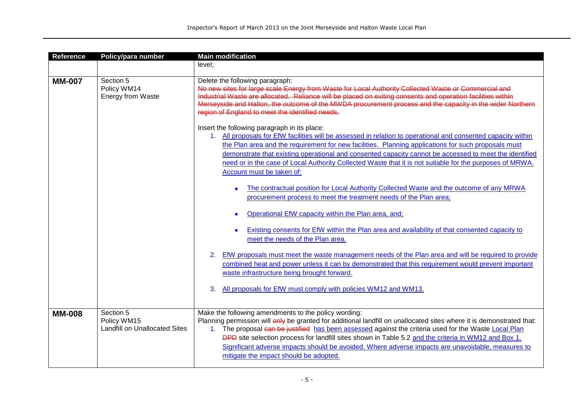| <b>Reference</b> | Policy/para number                                               | <b>Main modification</b>                                                                                                                                                                                                                                                                                                                                                                                                                                                                                                                     |
|------------------|------------------------------------------------------------------|----------------------------------------------------------------------------------------------------------------------------------------------------------------------------------------------------------------------------------------------------------------------------------------------------------------------------------------------------------------------------------------------------------------------------------------------------------------------------------------------------------------------------------------------|
|                  |                                                                  | level;                                                                                                                                                                                                                                                                                                                                                                                                                                                                                                                                       |
| <b>MM-007</b>    | Section 5<br>Policy WM14<br><b>Energy from Waste</b>             | Delete the following paragraph:<br>No new sites for large scale Energy from Waste for Local Authority Collected Waste or Commercial and<br>Industrial Waste are allocated. Reliance will be placed on exiting consents and operation facilities within<br>Merseyside and Halton, the outcome of the MWDA procurement process and the capacity in the wider Northern<br>region of England to meet the identified needs.                                                                                                                       |
|                  |                                                                  | Insert the following paragraph in its place:<br>1. All proposals for EfW facilities will be assessed in relation to operational and consented capacity within<br>the Plan area and the requirement for new facilities. Planning applications for such proposals must<br>demonstrate that existing operational and consented capacity cannot be accessed to meet the identified<br>need or in the case of Local Authority Collected Waste that it is not suitable for the purposes of MRWA.<br>Account must be taken of:                      |
|                  |                                                                  | The contractual position for Local Authority Collected Waste and the outcome of any MRWA<br>procurement process to meet the treatment needs of the Plan area;<br>Operational EfW capacity within the Plan area, and;                                                                                                                                                                                                                                                                                                                         |
|                  |                                                                  | Existing consents for EfW within the Plan area and availability of that consented capacity to<br>meet the needs of the Plan area.                                                                                                                                                                                                                                                                                                                                                                                                            |
|                  |                                                                  | EfW proposals must meet the waste management needs of the Plan area and will be required to provide<br>2.<br>combined heat and power unless it can by demonstrated that this requirement would prevent important<br>waste infrastructure being brought forward.                                                                                                                                                                                                                                                                              |
|                  |                                                                  | All proposals for EfW must comply with policies WM12 and WM13.<br>3.                                                                                                                                                                                                                                                                                                                                                                                                                                                                         |
| <b>MM-008</b>    | Section 5<br>Policy WM15<br><b>Landfill on Unallocated Sites</b> | Make the following amendments to the policy wording:<br>Planning permission will only be granted for additional landfill on unallocated sites where it is demonstrated that:<br>1. The proposal can be justified has been assessed against the criteria used for the Waste Local Plan<br>DPD site selection process for landfill sites shown in Table 5.2 and the criteria in WM12 and Box 1.<br>Significant adverse impacts should be avoided. Where adverse impacts are unavoidable, measures to<br>mitigate the impact should be adopted. |